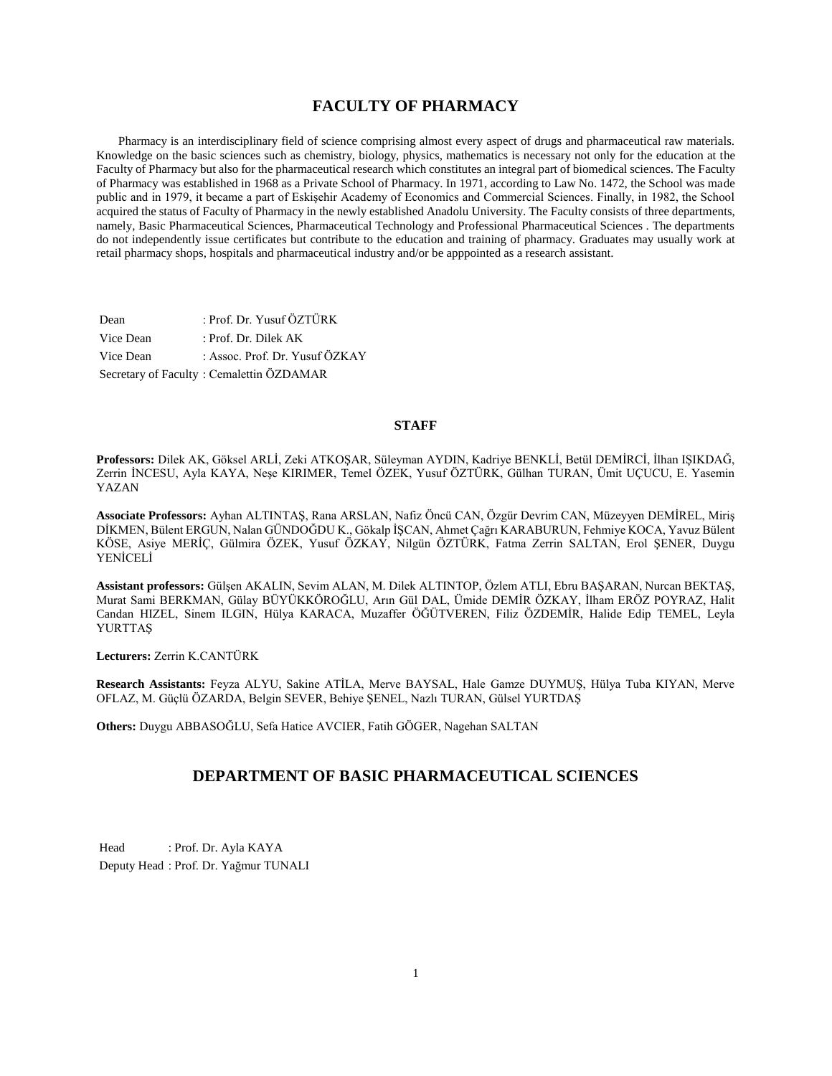## **FACULTY OF PHARMACY**

 Pharmacy is an interdisciplinary field of science comprising almost every aspect of drugs and pharmaceutical raw materials. Knowledge on the basic sciences such as chemistry, biology, physics, mathematics is necessary not only for the education at the Faculty of Pharmacy but also for the pharmaceutical research which constitutes an integral part of biomedical sciences. The Faculty of Pharmacy was established in 1968 as a Private School of Pharmacy. In 1971, according to Law No. 1472, the School was made public and in 1979, it became a part of Eskişehir Academy of Economics and Commercial Sciences. Finally, in 1982, the School acquired the status of Faculty of Pharmacy in the newly established Anadolu University. The Faculty consists of three departments, namely, Basic Pharmaceutical Sciences, Pharmaceutical Technology and Professional Pharmaceutical Sciences . The departments do not independently issue certificates but contribute to the education and training of pharmacy. Graduates may usually work at retail pharmacy shops, hospitals and pharmaceutical industry and/or be apppointed as a research assistant.

Dean : Prof. Dr. Yusuf ÖZTÜRK Vice Dean : Prof. Dr. Dilek AK Vice Dean : Assoc. Prof. Dr. Yusuf ÖZKAY Secretary of Faculty : Cemalettin ÖZDAMAR

## **STAFF**

**Professors:** Dilek AK, Göksel ARLİ, Zeki ATKOŞAR, Süleyman AYDIN, Kadriye BENKLİ, Betül DEMİRCİ, İlhan IŞIKDAĞ, Zerrin İNCESU, Ayla KAYA, Neşe KIRIMER, Temel ÖZEK, Yusuf ÖZTÜRK, Gülhan TURAN, Ümit UÇUCU, E. Yasemin YAZAN

**Associate Professors:** Ayhan ALTINTAŞ, Rana ARSLAN, Nafiz Öncü CAN, Özgür Devrim CAN, Müzeyyen DEMİREL, Miriş DİKMEN, Bülent ERGUN, Nalan GÜNDOĞDU K., Gökalp İŞCAN, Ahmet Çağrı KARABURUN, Fehmiye KOCA, Yavuz Bülent KÖSE, Asiye MERİÇ, Gülmira ÖZEK, Yusuf ÖZKAY, Nilgün ÖZTÜRK, Fatma Zerrin SALTAN, Erol ŞENER, Duygu YENİCELİ

**Assistant professors:** Gülşen AKALIN, Sevim ALAN, M. Dilek ALTINTOP, Özlem ATLI, Ebru BAŞARAN, Nurcan BEKTAŞ, Murat Sami BERKMAN, Gülay BÜYÜKKÖROĞLU, Arın Gül DAL, Ümide DEMİR ÖZKAY, İlham ERÖZ POYRAZ, Halit Candan HIZEL, Sinem ILGIN, Hülya KARACA, Muzaffer ÖĞÜTVEREN, Filiz ÖZDEMİR, Halide Edip TEMEL, Leyla YURTTAŞ

#### **Lecturers:** Zerrin K.CANTÜRK

**Research Assistants:** Feyza ALYU, Sakine ATİLA, Merve BAYSAL, Hale Gamze DUYMUŞ, Hülya Tuba KIYAN, Merve OFLAZ, M. Güçlü ÖZARDA, Belgin SEVER, Behiye ŞENEL, Nazlı TURAN, Gülsel YURTDAŞ

**Others:** Duygu ABBASOĞLU, Sefa Hatice AVCIER, Fatih GÖGER, Nagehan SALTAN

## **DEPARTMENT OF BASIC PHARMACEUTICAL SCIENCES**

Head : Prof. Dr. Ayla KAYA Deputy Head : Prof. Dr. Yağmur TUNALI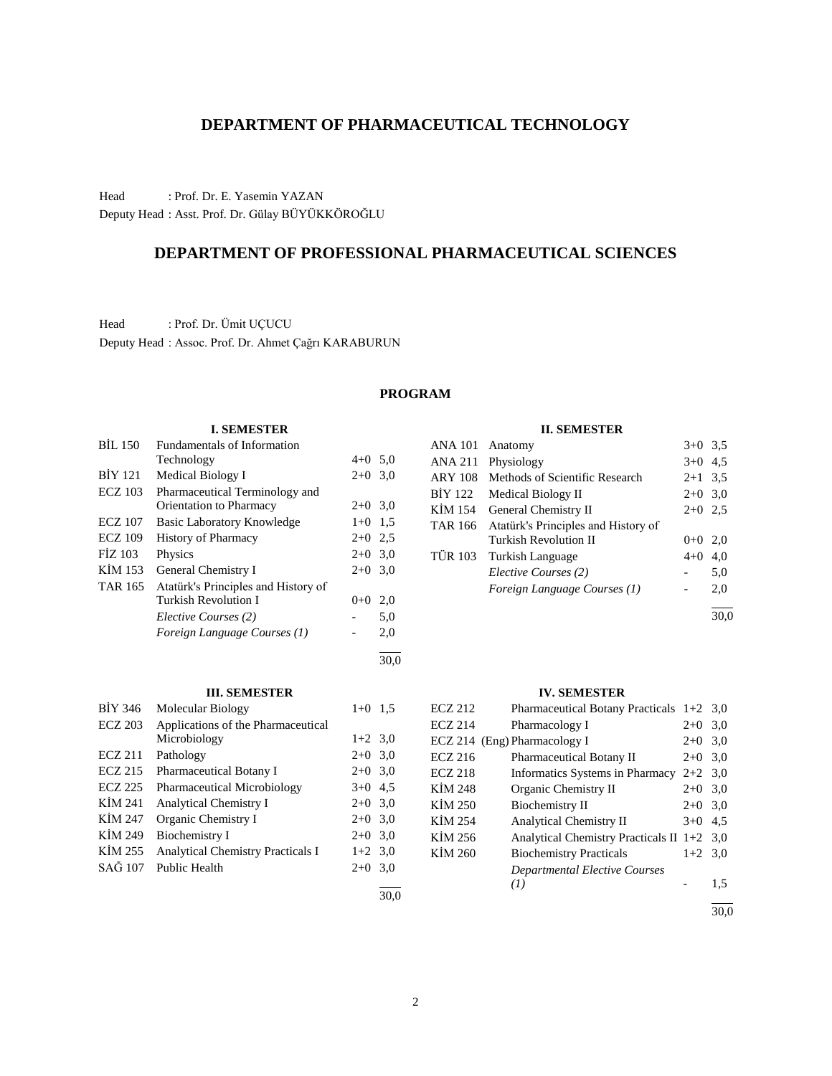# **DEPARTMENT OF PHARMACEUTICAL TECHNOLOGY**

Head : Prof. Dr. E. Yasemin YAZAN Deputy Head : Asst. Prof. Dr. Gülay BÜYÜKKÖROĞLU

# **DEPARTMENT OF PROFESSIONAL PHARMACEUTICAL SCIENCES**

Head : Prof. Dr. Ümit UÇUCU Deputy Head : Assoc. Prof. Dr. Ahmet Çağrı KARABURUN

## **PROGRAM**

# **I. SEMESTER**

| <b>BIL 150</b> | Fundamentals of Information         |           |     |
|----------------|-------------------------------------|-----------|-----|
|                | Technology                          | $4+0$ 5.0 |     |
| <b>BIY 121</b> | <b>Medical Biology I</b>            | $2+0$ 3,0 |     |
| <b>ECZ</b> 103 | Pharmaceutical Terminology and      |           |     |
|                | Orientation to Pharmacy             | $2+0$ 3.0 |     |
| <b>ECZ</b> 107 | <b>Basic Laboratory Knowledge</b>   | $1+0$ 1.5 |     |
| <b>ECZ 109</b> | <b>History of Pharmacy</b>          | $2+0$ 2.5 |     |
| FIZ 103        | Physics                             | $2+0$ 3,0 |     |
| KIM 153        | General Chemistry I                 | $2+0$ 3.0 |     |
| <b>TAR 165</b> | Atatürk's Principles and History of |           |     |
|                | <b>Turkish Revolution I</b>         | $0 + 0$   | 2,0 |
|                | Elective Courses (2)                |           | 5,0 |
|                | Foreign Language Courses (1)        |           | 2,0 |
|                |                                     |           |     |

| ٧<br>× |  |
|--------|--|

## **III. SEMESTER**

| BIY 346        | Molecular Biology                        | $1+0$     | 1.5 |
|----------------|------------------------------------------|-----------|-----|
| <b>ECZ 203</b> | Applications of the Pharmaceutical       |           |     |
|                | Microbiology                             | $1+2$ 3.0 |     |
| <b>ECZ 211</b> | Pathology                                | $2+0$ 3,0 |     |
| <b>ECZ 215</b> | <b>Pharmaceutical Botany I</b>           | $2+0$ 3,0 |     |
| <b>ECZ 225</b> | <b>Pharmaceutical Microbiology</b>       | $3+0$ 4.5 |     |
| KİM 241        | Analytical Chemistry I                   | $2+0$ 3.0 |     |
| KIM 247        | Organic Chemistry I                      | $2+0$ 3,0 |     |
| KIM 249        | Biochemistry I                           | $2+0$ 3,0 |     |
| KIM 255        | <b>Analytical Chemistry Practicals I</b> | $1+2$ 3,0 |     |
| SAĞ 107        | <b>Public Health</b>                     | $2+0$     | 3,0 |
|                |                                          |           |     |

#### 30,0

## **II. SEMESTER**

| ANA 101 Anatomy |                                        | $3+0$ 3.5 |     |
|-----------------|----------------------------------------|-----------|-----|
| <b>ANA 211</b>  | Physiology                             | $3+0$     | 4.5 |
|                 | ARY 108 Methods of Scientific Research | $2+1$ 3.5 |     |
| BIY 122         | Medical Biology II                     | $2+0$ 3,0 |     |
|                 | KIM 154 General Chemistry II           | $2+0$     | 2.5 |
| TAR 166         | Atatürk's Principles and History of    |           |     |
|                 | Turkish Revolution II                  | $0 + 0$   | 2.0 |
|                 | TÜR 103 Turkish Language               | $4+0$     | 4.0 |
|                 | Elective Courses (2)                   |           | 5,0 |
|                 | Foreign Language Courses (1)           |           | 2,0 |
|                 |                                        |           |     |

30,0

#### **IV. SEMESTER**

| <b>ECZ 212</b> | Pharmaceutical Botany Practicals 1+2         |           | 3.0 |
|----------------|----------------------------------------------|-----------|-----|
| <b>ECZ 214</b> | Pharmacology I                               | $2+0$     | 3,0 |
|                | ECZ 214 (Eng) Pharmacology I                 | $2+0$     | 3,0 |
| ECZ 216        | <b>Pharmaceutical Botany II</b>              | $2+0$     | 3.0 |
| <b>ECZ 218</b> | Informatics Systems in Pharmacy              | $2+2$ 3.0 |     |
| KIM 248        | Organic Chemistry II                         | $2+0$     | 3,0 |
| KIM 250        | Biochemistry II                              | $2+0$     | 3,0 |
| KİM 254        | <b>Analytical Chemistry II</b>               | $3+0$     | 4.5 |
| KIM 256        | Analytical Chemistry Practicals II $1+2$ 3,0 |           |     |
| KİM 260        | <b>Biochemistry Practicals</b>               | $1+2$     | 3,0 |
|                | <b>Departmental Elective Courses</b>         |           |     |
|                | (I)                                          |           | 1,5 |
|                |                                              |           |     |

30,0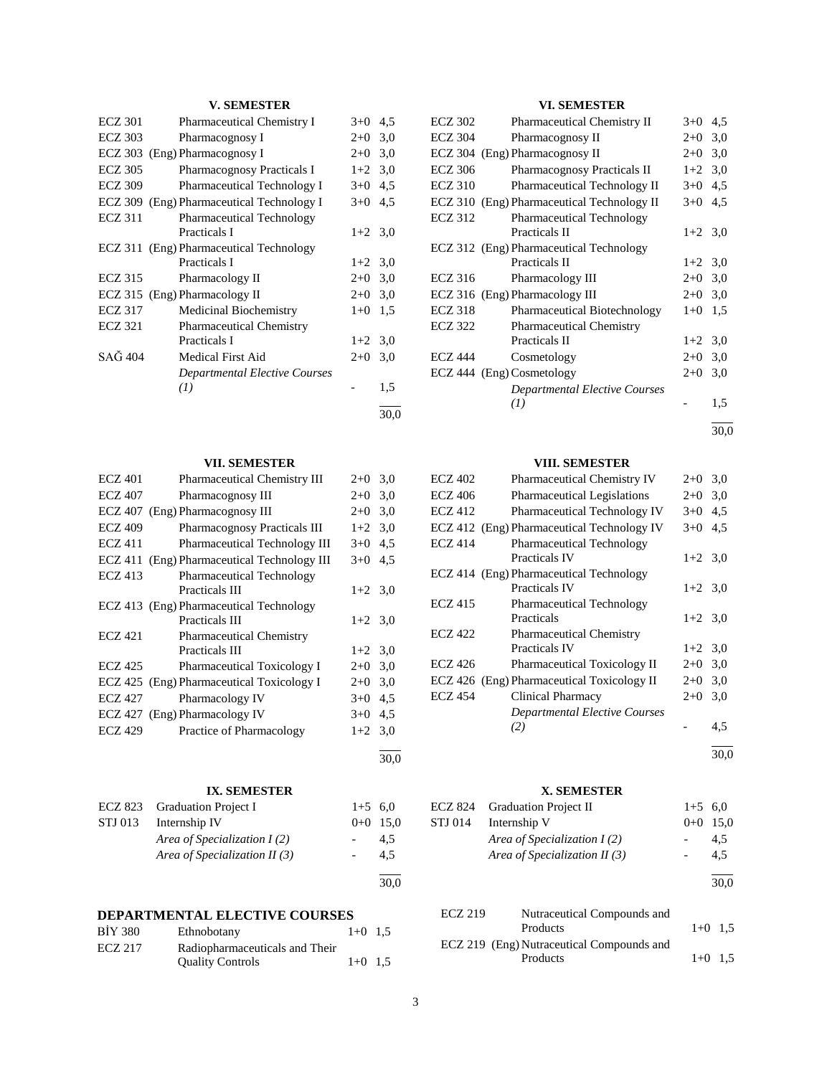## **V. SEMESTER**

| <b>ECZ 301</b> | <b>Pharmaceutical Chemistry I</b>                | $3+0$     | 4,5 |
|----------------|--------------------------------------------------|-----------|-----|
| <b>ECZ 303</b> | Pharmacognosy I                                  | $2+0$     | 3,0 |
|                | ECZ 303 (Eng) Pharmacognosy I                    | $2+0$     | 3,0 |
| <b>ECZ 305</b> | Pharmacognosy Practicals I                       | $1+2$ 3,0 |     |
| <b>ECZ 309</b> | Pharmaceutical Technology I                      | $3+0$ 4,5 |     |
|                | ECZ 309 (Eng) Pharmaceutical Technology I        | $3+0$ 4.5 |     |
| <b>ECZ</b> 311 | <b>Pharmaceutical Technology</b><br>Practicals I | $1+2$ 3,0 |     |
|                | ECZ 311 (Eng) Pharmaceutical Technology          |           |     |
|                | Practicals I                                     | $1+2$ 3,0 |     |
| ECZ 315        | Pharmacology II                                  | $2+0$     | 3,0 |
|                | ECZ 315 (Eng) Pharmacology II                    | $2+0$ 3,0 |     |
| <b>ECZ 317</b> | <b>Medicinal Biochemistry</b>                    | $1+0$ 1,5 |     |
| <b>ECZ 321</b> | <b>Pharmaceutical Chemistry</b>                  |           |     |
|                | Practicals I                                     | $1+2$ 3,0 |     |
| SAĞ 404        | <b>Medical First Aid</b>                         | $2+0$     | 3,0 |
|                | <b>Departmental Elective Courses</b>             |           |     |
|                | $\left( I\right)$                                |           | 1,5 |
|                |                                                  |           |     |

## **VII. SEMESTER**

| <b>ECZ 401</b> | Pharmaceutical Chemistry III              | $2+0$     | 3,0  |
|----------------|-------------------------------------------|-----------|------|
| <b>ECZ 407</b> | Pharmacognosy III                         | $2+0$     | 3,0  |
|                | ECZ 407 (Eng) Pharmacognosy III           | $2+0$ 3,0 |      |
| <b>ECZ 409</b> | Pharmacognosy Practicals III              | $1+2$ 3,0 |      |
| <b>ECZ</b> 411 | <b>Pharmaceutical Technology III</b>      | $3+0$     | 4,5  |
| ECZ 411        | (Eng) Pharmaceutical Technology III       | $3+0$     | 4,5  |
| <b>ECZ 413</b> | <b>Pharmaceutical Technology</b>          |           |      |
|                | Practicals III                            | $1+2$ 3.0 |      |
|                | ECZ 413 (Eng) Pharmaceutical Technology   |           |      |
|                | <b>Practicals III</b>                     | $1+2$ 3,0 |      |
| <b>ECZ 421</b> | <b>Pharmaceutical Chemistry</b>           |           |      |
|                | Practicals III                            | $1+2$ 3.0 |      |
| ECZ 425        | Pharmaceutical Toxicology I               | $2+0$     | 3,0  |
|                | ECZ 425 (Eng) Pharmaceutical Toxicology I | $2+0$ 3.0 |      |
| <b>ECZ 427</b> | Pharmacology IV                           | $3+0$     | 4,5  |
|                | ECZ 427 (Eng) Pharmacology IV             | $3+0$     | 4,5  |
| ECZ 429        | Practice of Pharmacology                  | $1+2$ 3,0 |      |
|                |                                           |           | 30,0 |

## **IX. SEMESTER**

|         | ECZ 823 Graduation Project I    | $1+5$ 6.0  |
|---------|---------------------------------|------------|
| STJ 013 | Internship IV                   | $0+0$ 15,0 |
|         | Area of Specialization $I(2)$   | 4.5        |
|         | Area of Specialization II $(3)$ | 4.5        |
|         |                                 |            |

## **DEPARTMENTAL ELECTIVE COURSES**

| <b>BİY 380</b> | Ethnobotany                    | $1+0$ 1.5 |  |
|----------------|--------------------------------|-----------|--|
| ECZ 217        | Radiopharmaceuticals and Their |           |  |
|                | <b>Quality Controls</b>        | $1+0$ 1.5 |  |

## **VI. SEMESTER**

| <b>ECZ 302</b> | <b>Pharmaceutical Chemistry II</b>         | $3+0$     | 4,5 |
|----------------|--------------------------------------------|-----------|-----|
| <b>ECZ 304</b> | Pharmacognosy II                           | $2+0$     | 3,0 |
|                | ECZ 304 (Eng) Pharmacognosy II             | $2+0$     | 3,0 |
| <b>ECZ 306</b> | Pharmacognosy Practicals II                | $1+2$ 3,0 |     |
| <b>ECZ 310</b> | <b>Pharmaceutical Technology II</b>        | $3+0$     | 4,5 |
|                | ECZ 310 (Eng) Pharmaceutical Technology II | $3+0$     | 4,5 |
| <b>ECZ 312</b> | <b>Pharmaceutical Technology</b>           |           |     |
|                | Practicals II                              | $1+2$ 3,0 |     |
|                | ECZ 312 (Eng) Pharmaceutical Technology    |           |     |
|                | Practicals II                              | $1+2$ 3,0 |     |
| ECZ 316        | Pharmacology III                           | $2+0$     | 3,0 |
|                | ECZ 316 (Eng) Pharmacology III             | $2+0$ 3,0 |     |
| <b>ECZ 318</b> | Pharmaceutical Biotechnology               | $1+0$     | 1,5 |
| <b>ECZ 322</b> | <b>Pharmaceutical Chemistry</b>            |           |     |
|                | Practicals II                              | $1+2$     | 3,0 |
| <b>ECZ 444</b> | Cosmetology                                | $2+0$     | 3,0 |
|                | ECZ 444 (Eng) Cosmetology                  | $2+0$     | 3,0 |
|                | <b>Departmental Elective Courses</b>       |           |     |
|                | (I)                                        |           | 1,5 |
|                |                                            |           |     |

30,0

## **VIII. SEMESTER**

| <b>ECZ 402</b> | <b>Pharmaceutical Chemistry IV</b>         | $2+0$     | 3,0 |
|----------------|--------------------------------------------|-----------|-----|
| <b>ECZ 406</b> | <b>Pharmaceutical Legislations</b>         | $2+0$     | 3,0 |
| ECZ 412        | Pharmaceutical Technology IV               | $3+0$     | 4,5 |
|                | ECZ 412 (Eng) Pharmaceutical Technology IV | $3+0$     | 4,5 |
| <b>ECZ 414</b> | <b>Pharmaceutical Technology</b>           |           |     |
|                | <b>Practicals IV</b>                       | $1+2$ 3.0 |     |
|                | ECZ 414 (Eng) Pharmaceutical Technology    |           |     |
|                | <b>Practicals IV</b>                       | $1+2$ 3.0 |     |
| <b>ECZ 415</b> | <b>Pharmaceutical Technology</b>           |           |     |
|                | Practicals                                 | $1+2$ 3.0 |     |
| <b>ECZ 422</b> | <b>Pharmaceutical Chemistry</b>            |           |     |
|                | <b>Practicals IV</b>                       | $1+2$ 3.0 |     |
| <b>ECZ 426</b> | <b>Pharmaceutical Toxicology II</b>        | $2+0$     | 3,0 |
|                | ECZ 426 (Eng) Pharmaceutical Toxicology II | $2+0$     | 3,0 |
| <b>ECZ 454</b> | Clinical Pharmacy                          | $2+0$     | 3,0 |
|                | Departmental Elective Courses              |           |     |
|                | (2)                                        |           | 4,5 |
|                |                                            |           |     |

## **X. SEMESTER**

|         | ECZ 824 Graduation Project II   | $1+5$ 6.0  |
|---------|---------------------------------|------------|
| STJ 014 | Internship V                    | $0+0$ 15,0 |
|         | Area of Specialization $I(2)$   | 4.5        |
|         | Area of Specialization II $(3)$ | 4.5        |
|         |                                 |            |

30,0

30,0

| <b>ECZ 219</b> | Nutraceutical Compounds and               |           |  |
|----------------|-------------------------------------------|-----------|--|
|                | Products                                  | $1+0$ 1.5 |  |
|                | ECZ 219 (Eng) Nutraceutical Compounds and |           |  |
|                | Products                                  | $1+0$ 1.5 |  |

30,0

30,0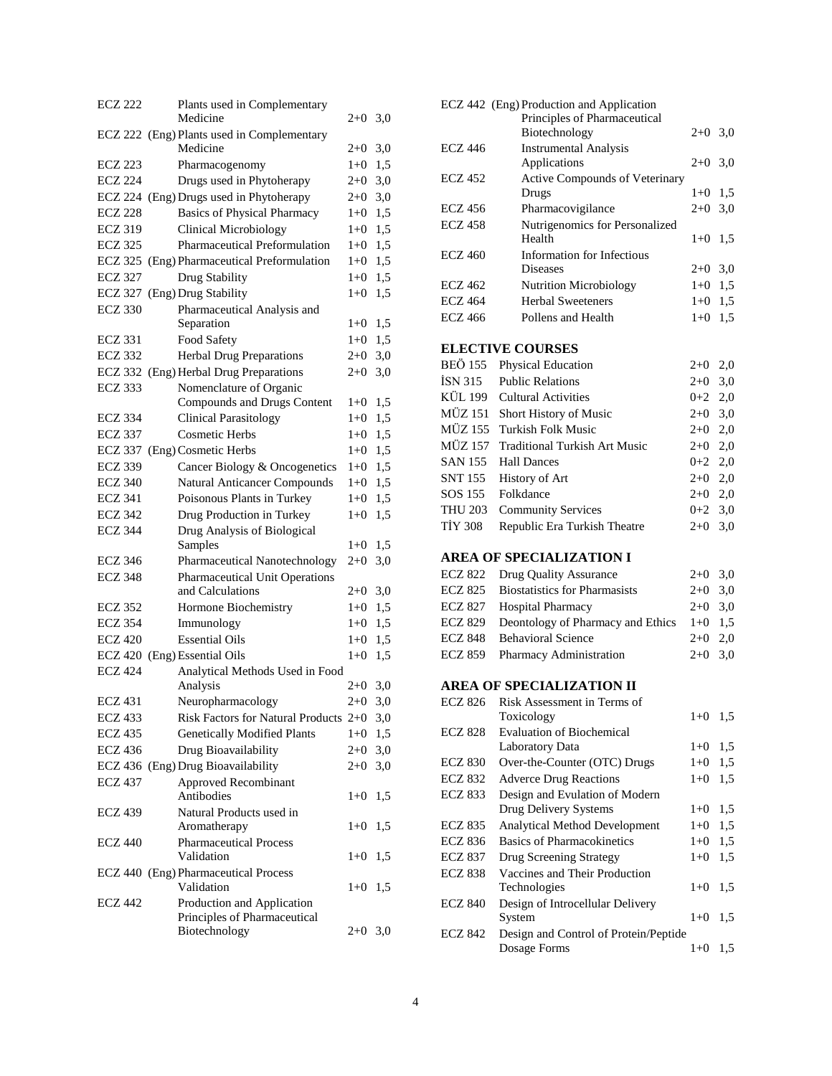| <b>ECZ 222</b> | Plants used in Complementary<br>Medicine   | $2+0$ 3,0 |     |
|----------------|--------------------------------------------|-----------|-----|
|                | ECZ 222 (Eng) Plants used in Complementary |           |     |
|                | Medicine                                   | $2+0$     | 3,0 |
| <b>ECZ 223</b> | Pharmacogenomy                             | $1 + 0$   | 1,5 |
| <b>ECZ 224</b> | Drugs used in Phytoherapy                  | $2+0$     | 3,0 |
|                | ECZ 224 (Eng) Drugs used in Phytoherapy    | $2+0$     | 3,0 |
| <b>ECZ 228</b> | <b>Basics of Physical Pharmacy</b>         | $1 + 0$   | 1,5 |
| <b>ECZ 319</b> | <b>Clinical Microbiology</b>               | $1+0$     | 1,5 |
| <b>ECZ 325</b> | Pharmaceutical Preformulation              | $1+0$     | 1,5 |
| <b>ECZ 325</b> | (Eng) Pharmaceutical Preformulation        | $1+0$     | 1,5 |
| <b>ECZ 327</b> | Drug Stability                             | $1+0$     | 1,5 |
|                | ECZ 327 (Eng) Drug Stability               | $1+0$     | 1,5 |
| <b>ECZ 330</b> | Pharmaceutical Analysis and                |           |     |
|                | Separation                                 | $1+0$     | 1,5 |
| <b>ECZ 331</b> | Food Safety                                | $1+0$     | 1,5 |
| <b>ECZ 332</b> | <b>Herbal Drug Preparations</b>            | $2+0$     | 3,0 |
|                | ECZ 332 (Eng) Herbal Drug Preparations     | $2+0$     | 3,0 |
| <b>ECZ 333</b> | Nomenclature of Organic                    |           |     |
|                | Compounds and Drugs Content                | $1+0$     | 1,5 |
| <b>ECZ 334</b> | <b>Clinical Parasitology</b>               | $1+0$     | 1,5 |
| <b>ECZ 337</b> | <b>Cosmetic Herbs</b>                      | $1+0$     | 1,5 |
|                | ECZ 337 (Eng) Cosmetic Herbs               | $1+0$     | 1,5 |
| <b>ECZ 339</b> | Cancer Biology & Oncogenetics              | $1+0$     | 1,5 |
| <b>ECZ 340</b> | <b>Natural Anticancer Compounds</b>        | $1 + 0$   | 1,5 |
| <b>ECZ 341</b> | Poisonous Plants in Turkey                 | $1 + 0$   | 1,5 |
| <b>ECZ 342</b> | Drug Production in Turkey                  | $1 + 0$   | 1,5 |
| <b>ECZ 344</b> | Drug Analysis of Biological                |           |     |
|                | Samples                                    | $1 + 0$   | 1,5 |
| <b>ECZ 346</b> | Pharmaceutical Nanotechnology              | $2+0$     | 3,0 |
| <b>ECZ 348</b> | Pharmaceutical Unit Operations             |           |     |
|                | and Calculations                           | $2+0$     | 3,0 |
| <b>ECZ 352</b> | Hormone Biochemistry                       | $1+0$     | 1,5 |
| <b>ECZ 354</b> | Immunology                                 | $1+0$     | 1,5 |
| <b>ECZ 420</b> | <b>Essential Oils</b>                      | $1 + 0$   | 1,5 |
|                | ECZ 420 (Eng) Essential Oils               | $1+0$     | 1,5 |
| <b>ECZ 424</b> | Analytical Methods Used in Food            |           |     |
|                | Analysis                                   | $2+0$     | 3,0 |
| <b>ECZ 431</b> | Neuropharmacology                          | $2+0$     | 3,0 |
| <b>ECZ 433</b> | Risk Factors for Natural Products 2+0      |           | 3,0 |
| <b>ECZ 435</b> | <b>Genetically Modified Plants</b>         | $1 + 0$   | 1,5 |
| <b>ECZ 436</b> | Drug Bioavailability                       | $2+0$     | 3,0 |
|                | ECZ 436 (Eng) Drug Bioavailability         | $2+0$     | 3,0 |
| <b>ECZ 437</b> | Approved Recombinant<br>Antibodies         | $1+0$     | 1,5 |
| <b>ECZ 439</b> | Natural Products used in                   |           |     |
|                | Aromatherapy                               | $1+0$     | 1,5 |
| <b>ECZ 440</b> | <b>Pharmaceutical Process</b>              |           |     |
|                | Validation                                 | $1+0$     | 1,5 |
|                | ECZ 440 (Eng) Pharmaceutical Process       |           |     |
|                | Validation                                 | $1+0$     | 1,5 |
| <b>ECZ 442</b> | Production and Application                 |           |     |
|                | Principles of Pharmaceutical               |           |     |
|                | Biotechnology                              | $2+0$     | 3,0 |

|                | ECZ 442 (Eng) Production and Application              |           |     |
|----------------|-------------------------------------------------------|-----------|-----|
|                | Principles of Pharmaceutical                          |           |     |
|                | Biotechnology                                         | $2+0$ 3.0 |     |
| <b>ECZ 446</b> | <b>Instrumental Analysis</b><br>Applications          | $2+0$ 3,0 |     |
| <b>ECZ 452</b> | Active Compounds of Veterinary                        |           |     |
|                | Drugs                                                 | $1+0$ 1,5 |     |
| <b>ECZ 456</b> | Pharmacovigilance                                     | $2 + 0$   | 3,0 |
| <b>ECZ 458</b> | Nutrigenomics for Personalized                        |           |     |
|                | Health                                                | $1+0$ 1,5 |     |
| <b>ECZ 460</b> | Information for Infectious<br><b>Diseases</b>         | $2+0$ 3,0 |     |
| ECZ 462        | <b>Nutrition Microbiology</b>                         | $1+0$ 1,5 |     |
| <b>ECZ 464</b> | <b>Herbal Sweeteners</b>                              | $1+0$ 1,5 |     |
| ECZ 466        | Pollens and Health                                    | $1+0$ 1,5 |     |
|                |                                                       |           |     |
|                | <b>ELECTIVE COURSES</b>                               |           |     |
| <b>BEÖ 155</b> | Physical Education                                    | $2 + 0$   | 2,0 |
| ISN 315        | <b>Public Relations</b>                               | $2+0$     | 3,0 |
|                | KÜL 199 Cultural Activities                           | $0+2$     | 2,0 |
|                | MÜZ 151 Short History of Music                        | $2+0$     | 3,0 |
|                | MÜZ 155 Turkish Folk Music                            | $2+0$     | 2,0 |
| MÜZ 157        | <b>Traditional Turkish Art Music</b>                  | $2 + 0$   | 2,0 |
| SAN 155        | <b>Hall Dances</b>                                    | $0+2$     | 2,0 |
| SNT 155        | History of Art                                        | $2 + 0$   | 2,0 |
| SOS 155        | Folkdance                                             | $2+0$ 2,0 |     |
| THU 203        | <b>Community Services</b>                             | $0+2$ 3,0 |     |
| TİY 308        | Republic Era Turkish Theatre                          | $2+0$ 3,0 |     |
|                | AREA OF SPECIALIZATION I                              |           |     |
| ECZ 822        | Drug Quality Assurance                                | $2+0$     | 3,0 |
| <b>ECZ 825</b> | <b>Biostatistics for Pharmasists</b>                  | $2 + 0$   | 3,0 |
| ECZ 827        | Hospital Pharmacy                                     | $2 + 0$   | 3,0 |
| <b>ECZ 829</b> | Deontology of Pharmacy and Ethics                     | $1+0$ 1,5 |     |
| <b>ECZ 848</b> | <b>Behavioral Science</b>                             | $2 + 0$   | 2,0 |
| <b>ECZ 859</b> | Pharmacy Administration                               | $2 + 0$   | 3,0 |
|                |                                                       |           |     |
|                | <b>AREA OF SPECIALIZATION II</b>                      |           |     |
| <b>ECZ 826</b> | Risk Assessment in Terms of<br>Toxicology             | $1 + 0$   | 1,5 |
| <b>ECZ 828</b> | <b>Evaluation of Biochemical</b>                      |           |     |
|                | Laboratory Data                                       | $1 + 0$   | 1,5 |
| <b>ECZ 830</b> | Over-the-Counter (OTC) Drugs                          | $1 + 0$   | 1,5 |
| <b>ECZ 832</b> | <b>Adverce Drug Reactions</b>                         | $1 + 0$   | 1,5 |
| <b>ECZ 833</b> | Design and Evulation of Modern                        |           |     |
|                | Drug Delivery Systems                                 | $1 + 0$   | 1,5 |
| <b>ECZ 835</b> | Analytical Method Development                         | $1 + 0$   | 1,5 |
| <b>ECZ 836</b> | <b>Basics of Pharmacokinetics</b>                     | $1 + 0$   | 1,5 |
| <b>ECZ 837</b> | <b>Drug Screening Strategy</b>                        | $1+0$     | 1,5 |
| <b>ECZ 838</b> | Vaccines and Their Production                         |           |     |
|                | Technologies                                          | $1+0$     | 1,5 |
| <b>ECZ 840</b> | Design of Introcellular Delivery                      |           |     |
|                | System                                                | $1 + 0$   | 1,5 |
| ECZ 842        | Design and Control of Protein/Peptide<br>Dosage Forms | $1+0$     | 1,5 |
|                |                                                       |           |     |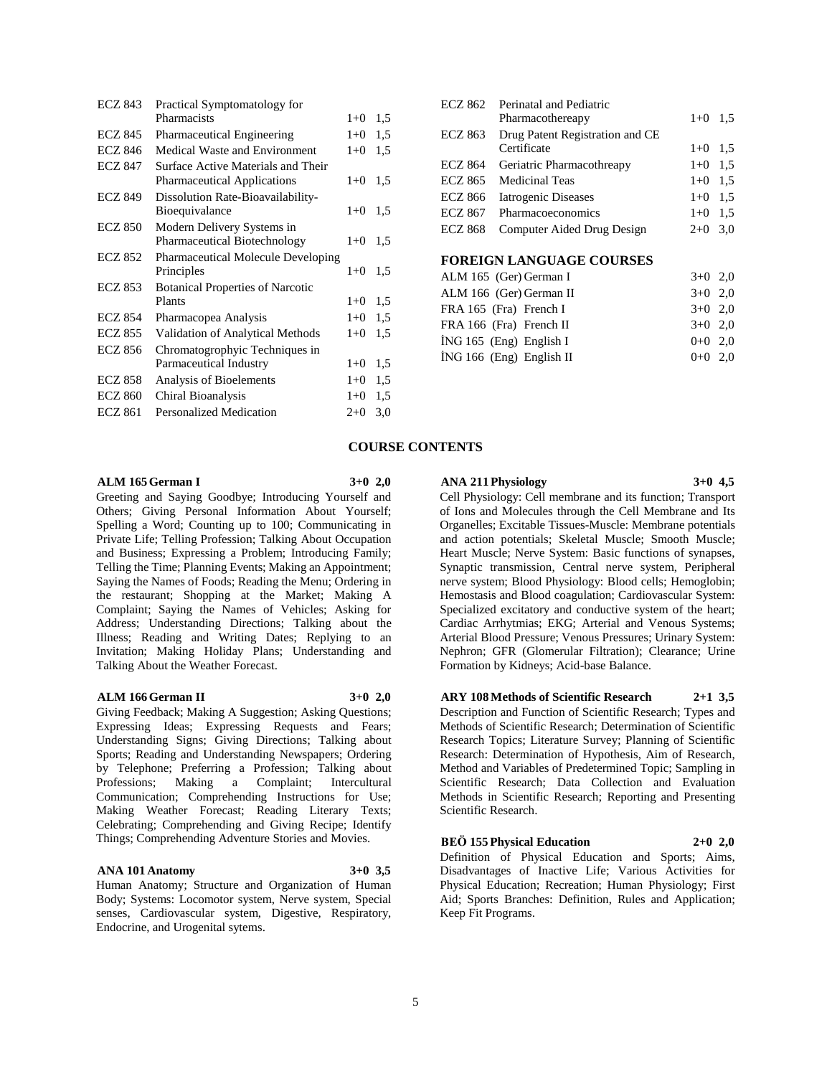| <b>ECZ 843</b> | Practical Symptomatology for              |         |     |
|----------------|-------------------------------------------|---------|-----|
|                | Pharmacists                               | $1+0$   | 1,5 |
| <b>ECZ 845</b> | Pharmaceutical Engineering                | $1 + 0$ | 1,5 |
| <b>ECZ 846</b> | <b>Medical Waste and Environment</b>      | $1+0$   | 1,5 |
| <b>ECZ 847</b> | Surface Active Materials and Their        |         |     |
|                | <b>Pharmaceutical Applications</b>        | $1+0$   | 1,5 |
| <b>ECZ 849</b> | Dissolution Rate-Bioavailability-         |         |     |
|                | Bioequivalance                            | $1+0$   | 1,5 |
| <b>ECZ 850</b> | Modern Delivery Systems in                |         |     |
|                | Pharmaceutical Biotechnology              | $1 + 0$ | 1,5 |
| <b>ECZ 852</b> | <b>Pharmaceutical Molecule Developing</b> |         |     |
|                | Principles                                | $1+0$   | 1,5 |
| <b>ECZ 853</b> | <b>Botanical Properties of Narcotic</b>   |         |     |
|                | Plants                                    | $1+0$   | 1,5 |
| <b>ECZ 854</b> | Pharmacopea Analysis                      | $1 + 0$ | 1,5 |
| <b>ECZ 855</b> | <b>Validation of Analytical Methods</b>   | $1 + 0$ | 1,5 |
| <b>ECZ 856</b> | Chromatogrophyic Techniques in            |         |     |
|                | Parmaceutical Industry                    | $1+0$   | 1,5 |
| <b>ECZ 858</b> | Analysis of Bioelements                   | $1 + 0$ | 1,5 |
| <b>ECZ 860</b> | Chiral Bioanalysis                        | $1 + 0$ | 1,5 |
| <b>ECZ 861</b> | Personalized Medication                   | $2+0$   | 3,0 |
|                |                                           |         |     |

| ECZ 862                         | Perinatal and Pediatric         |       |     |
|---------------------------------|---------------------------------|-------|-----|
|                                 | Pharmacothereapy                | $1+0$ | 1.5 |
| <b>ECZ 863</b>                  | Drug Patent Registration and CE |       |     |
|                                 | Certificate                     | $1+0$ | 1.5 |
| <b>ECZ 864</b>                  | Geriatric Pharmacothreapy       | $1+0$ | 1.5 |
| ECZ 865                         | Medicinal Teas                  | $1+0$ | 1.5 |
| <b>ECZ 866</b>                  | Iatrogenic Diseases             | $1+0$ | 1.5 |
| ECZ 867                         | <b>Pharmacoeconomics</b>        | $1+0$ | 1.5 |
| <b>ECZ 868</b>                  | Computer Aided Drug Design      | $2+0$ | 3,0 |
|                                 |                                 |       |     |
| <b>FOREIGN LANGUAGE COURSES</b> |                                 |       |     |

| ALM 165 (Ger) German I     | $3+0$ 2,0 |  |
|----------------------------|-----------|--|
| ALM 166 (Ger) German II    | $3+0$ 2,0 |  |
| FRA 165 (Fra) French I     | $3+0$ 2.0 |  |
| FRA 166 (Fra) French II    | $3+0$ 2.0 |  |
| $ING 165$ (Eng) English I  | $0+0$ 2.0 |  |
| $ING 166$ (Eng) English II | $0+0$ 2.0 |  |

#### **COURSE CONTENTS**

#### **ALM 165 German I 3+0 2,0**

Greeting and Saying Goodbye; Introducing Yourself and Others; Giving Personal Information About Yourself; Spelling a Word; Counting up to 100; Communicating in Private Life; Telling Profession; Talking About Occupation and Business; Expressing a Problem; Introducing Family; Telling the Time; Planning Events; Making an Appointment; Saying the Names of Foods; Reading the Menu; Ordering in the restaurant; Shopping at the Market; Making A Complaint; Saying the Names of Vehicles; Asking for Address; Understanding Directions; Talking about the Illness; Reading and Writing Dates; Replying to an Invitation; Making Holiday Plans; Understanding and Talking About the Weather Forecast.

#### **ALM 166 German II 3+0 2,0**

Giving Feedback; Making A Suggestion; Asking Questions; Expressing Ideas; Expressing Requests and Fears; Understanding Signs; Giving Directions; Talking about Sports; Reading and Understanding Newspapers; Ordering by Telephone; Preferring a Profession; Talking about Professions; Making a Complaint; Intercultural Professions; Making a Complaint; Intercultural Communication; Comprehending Instructions for Use; Making Weather Forecast; Reading Literary Texts; Celebrating; Comprehending and Giving Recipe; Identify Things; Comprehending Adventure Stories and Movies.

#### **ANA 101 Anatomy 3+0 3,5**

Human Anatomy; Structure and Organization of Human Body; Systems: Locomotor system, Nerve system, Special senses, Cardiovascular system, Digestive, Respiratory, Endocrine, and Urogenital sytems.

## **ANA 211 Physiology 3+0 4,5**

Cell Physiology: Cell membrane and its function; Transport of Ions and Molecules through the Cell Membrane and Its Organelles; Excitable Tissues-Muscle: Membrane potentials and action potentials; Skeletal Muscle; Smooth Muscle; Heart Muscle; Nerve System: Basic functions of synapses, Synaptic transmission, Central nerve system, Peripheral nerve system; Blood Physiology: Blood cells; Hemoglobin; Hemostasis and Blood coagulation; Cardiovascular System: Specialized excitatory and conductive system of the heart; Cardiac Arrhytmias; EKG; Arterial and Venous Systems; Arterial Blood Pressure; Venous Pressures; Urinary System: Nephron; GFR (Glomerular Filtration); Clearance; Urine Formation by Kidneys; Acid-base Balance.

#### **ARY 108 Methods of Scientific Research 2+1 3,5**

Description and Function of Scientific Research; Types and Methods of Scientific Research; Determination of Scientific Research Topics; Literature Survey; Planning of Scientific Research: Determination of Hypothesis, Aim of Research, Method and Variables of Predetermined Topic; Sampling in Scientific Research; Data Collection and Evaluation Methods in Scientific Research; Reporting and Presenting Scientific Research.

## **BEÖ 155 Physical Education 2+0 2,0**

Definition of Physical Education and Sports; Aims, Disadvantages of Inactive Life; Various Activities for Physical Education; Recreation; Human Physiology; First Aid; Sports Branches: Definition, Rules and Application; Keep Fit Programs.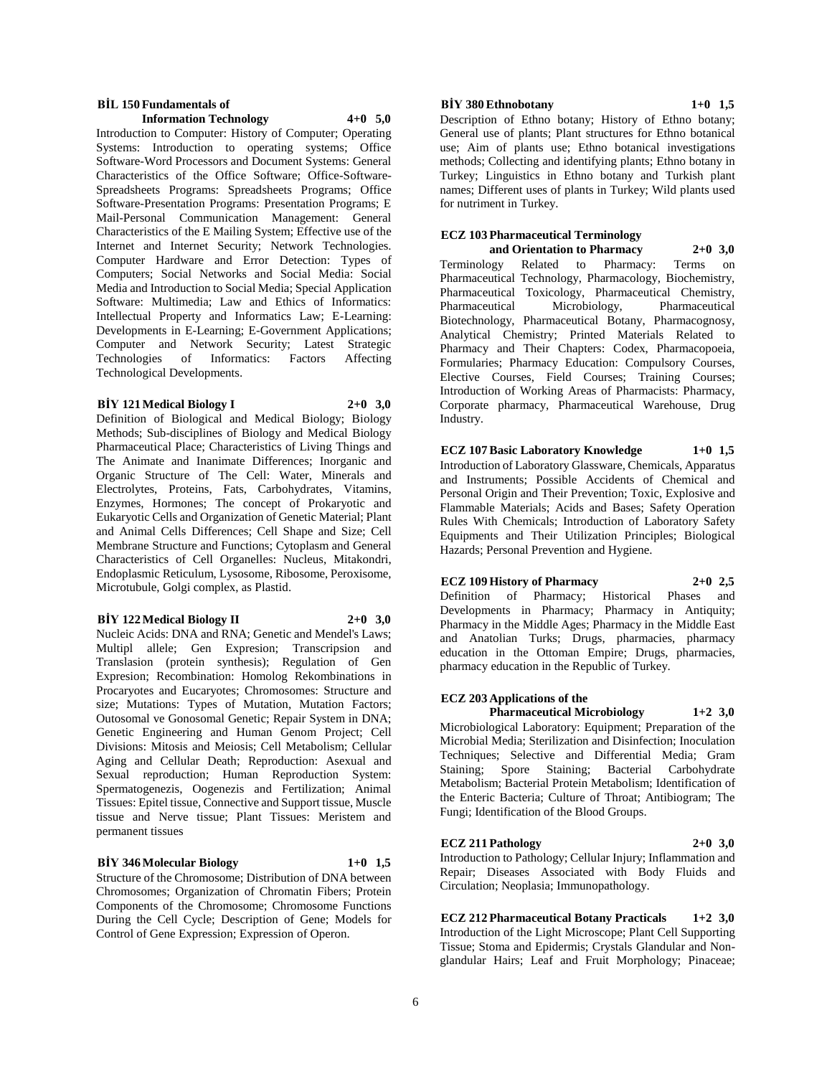#### **BİL 150 Fundamentals of Information Technology 4+0 5,0**

Introduction to Computer: History of Computer; Operating Systems: Introduction to operating systems: Office Software-Word Processors and Document Systems: General Characteristics of the Office Software; Office-Software-Spreadsheets Programs: Spreadsheets Programs; Office Software-Presentation Programs: Presentation Programs; E Mail-Personal Communication Management: General Characteristics of the E Mailing System; Effective use of the Internet and Internet Security; Network Technologies. Computer Hardware and Error Detection: Types of Computers; Social Networks and Social Media: Social Media and Introduction to Social Media; Special Application Software: Multimedia; Law and Ethics of Informatics: Intellectual Property and Informatics Law; E-Learning: Developments in E-Learning; E-Government Applications; Computer and Network Security; Latest Strategic Technologies of Informatics: Factors Affecting Technological Developments.

## **BİY 121 Medical Biology I 2+0 3,0**

Definition of Biological and Medical Biology; Biology Methods; Sub-disciplines of Biology and Medical Biology Pharmaceutical Place; Characteristics of Living Things and The Animate and Inanimate Differences; Inorganic and Organic Structure of The Cell: Water, Minerals and Electrolytes, Proteins, Fats, Carbohydrates, Vitamins, Enzymes, Hormones; The concept of Prokaryotic and Eukaryotic Cells and Organization of Genetic Material; Plant and Animal Cells Differences; Cell Shape and Size; Cell Membrane Structure and Functions; Cytoplasm and General Characteristics of Cell Organelles: Nucleus, Mitakondri, Endoplasmic Reticulum, Lysosome, Ribosome, Peroxisome, Microtubule, Golgi complex, as Plastid.

#### **BİY 122 Medical Biology II 2+0 3,0**

Nucleic Acids: DNA and RNA; Genetic and Mendel's Laws; Multipl allele; Gen Expresion; Transcripsion and Translasion (protein synthesis); Regulation of Gen Expresion; Recombination: Homolog Rekombinations in Procaryotes and Eucaryotes; Chromosomes: Structure and size; Mutations: Types of Mutation, Mutation Factors; Outosomal ve Gonosomal Genetic; Repair System in DNA; Genetic Engineering and Human Genom Project; Cell Divisions: Mitosis and Meiosis; Cell Metabolism; Cellular Aging and Cellular Death; Reproduction: Asexual and Sexual reproduction; Human Reproduction System: Spermatogenezis, Oogenezis and Fertilization; Animal Tissues: Epitel tissue, Connective and Support tissue, Muscle tissue and Nerve tissue; Plant Tissues: Meristem and permanent tissues

#### **BİY 346 Molecular Biology 1+0 1,5**

Structure of the Chromosome; Distribution of DNA between Chromosomes; Organization of Chromatin Fibers; Protein Components of the Chromosome; Chromosome Functions During the Cell Cycle; Description of Gene; Models for Control of Gene Expression; Expression of Operon.

#### **BİY 380 Ethnobotany 1+0 1,5**

Description of Ethno botany; History of Ethno botany; General use of plants; Plant structures for Ethno botanical use; Aim of plants use; Ethno botanical investigations methods; Collecting and identifying plants; Ethno botany in Turkey; Linguistics in Ethno botany and Turkish plant names; Different uses of plants in Turkey; Wild plants used for nutriment in Turkey.

## **ECZ 103 Pharmaceutical Terminology**

**and Orientation to Pharmacy 2+0 3,0** Terminology Related to Pharmacy: Terms on Pharmaceutical Technology, Pharmacology, Biochemistry, Pharmaceutical Toxicology, Pharmaceutical Chemistry, Pharmaceutical Microbiology, Pharmaceutical Biotechnology, Pharmaceutical Botany, Pharmacognosy, Analytical Chemistry; Printed Materials Related to Pharmacy and Their Chapters: Codex, Pharmacopoeia, Formularies; Pharmacy Education: Compulsory Courses, Elective Courses, Field Courses; Training Courses; Introduction of Working Areas of Pharmacists: Pharmacy, Corporate pharmacy, Pharmaceutical Warehouse, Drug Industry.

## **ECZ 107 Basic Laboratory Knowledge 1+0 1,5**

Introduction of Laboratory Glassware, Chemicals, Apparatus and Instruments; Possible Accidents of Chemical and Personal Origin and Their Prevention; Toxic, Explosive and Flammable Materials; Acids and Bases; Safety Operation Rules With Chemicals; Introduction of Laboratory Safety Equipments and Their Utilization Principles; Biological Hazards; Personal Prevention and Hygiene.

## **ECZ 109 History of Pharmacy 2+0 2,5**

Definition of Pharmacy; Historical Phases and Developments in Pharmacy; Pharmacy in Antiquity; Pharmacy in the Middle Ages; Pharmacy in the Middle East and Anatolian Turks; Drugs, pharmacies, pharmacy education in the Ottoman Empire; Drugs, pharmacies, pharmacy education in the Republic of Turkey.

## **ECZ 203 Applications of the**

**Pharmaceutical Microbiology 1+2 3,0** Microbiological Laboratory: Equipment; Preparation of the Microbial Media; Sterilization and Disinfection; Inoculation Techniques; Selective and Differential Media; Gram Staining; Spore Staining; Bacterial Carbohydrate Metabolism; Bacterial Protein Metabolism; Identification of the Enteric Bacteria; Culture of Throat; Antibiogram; The Fungi; Identification of the Blood Groups.

## **ECZ 211 Pathology 2+0 3,0**

Introduction to Pathology; Cellular Injury; Inflammation and Repair; Diseases Associated with Body Fluids and Circulation; Neoplasia; Immunopathology.

**ECZ 212 Pharmaceutical Botany Practicals 1+2 3,0** Introduction of the Light Microscope; Plant Cell Supporting Tissue; Stoma and Epidermis; Crystals Glandular and Nonglandular Hairs; Leaf and Fruit Morphology; Pinaceae;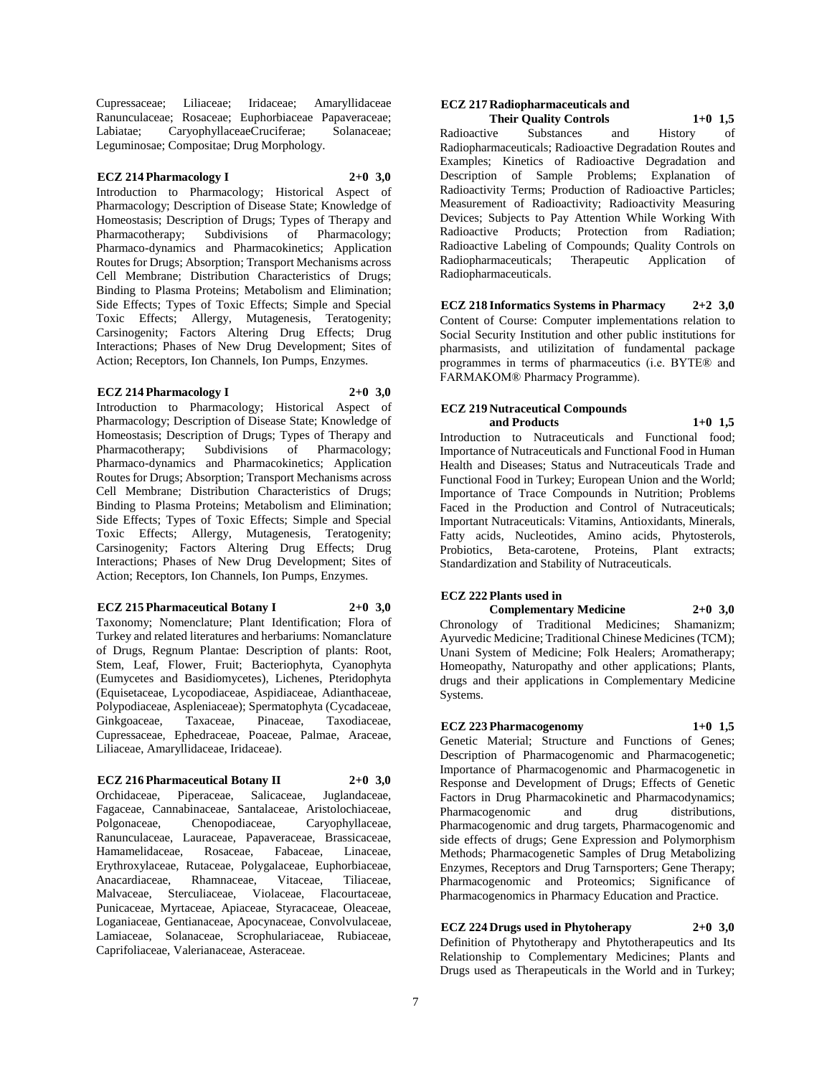Cupressaceae; Liliaceae; Iridaceae; Amaryllidaceae Ranunculaceae; Rosaceae; Euphorbiaceae Papaveraceae; Labiatae; CaryophyllaceaeCruciferae; Solanaceae; Leguminosae; Compositae; Drug Morphology.

#### **ECZ 214 Pharmacology I 2+0 3,0**

Introduction to Pharmacology; Historical Aspect of Pharmacology; Description of Disease State; Knowledge of Homeostasis; Description of Drugs; Types of Therapy and Pharmacotherapy; Subdivisions of Pharmacology; Pharmaco-dynamics and Pharmacokinetics; Application Routes for Drugs; Absorption; Transport Mechanisms across Cell Membrane; Distribution Characteristics of Drugs; Binding to Plasma Proteins; Metabolism and Elimination; Side Effects; Types of Toxic Effects; Simple and Special Toxic Effects; Allergy, Mutagenesis, Teratogenity; Carsinogenity; Factors Altering Drug Effects; Drug Interactions; Phases of New Drug Development; Sites of Action; Receptors, Ion Channels, Ion Pumps, Enzymes.

## **ECZ 214 Pharmacology I 2+0 3,0**

Introduction to Pharmacology; Historical Aspect of Pharmacology; Description of Disease State; Knowledge of Homeostasis; Description of Drugs; Types of Therapy and Pharmacotherapy; Subdivisions of Pharmacology; Pharmacotherapy; Subdivisions of Pharmacology; Pharmaco-dynamics and Pharmacokinetics; Application Routes for Drugs; Absorption; Transport Mechanisms across Cell Membrane; Distribution Characteristics of Drugs; Binding to Plasma Proteins; Metabolism and Elimination; Side Effects; Types of Toxic Effects; Simple and Special Toxic Effects; Allergy, Mutagenesis, Teratogenity; Carsinogenity; Factors Altering Drug Effects; Drug Interactions; Phases of New Drug Development; Sites of Action; Receptors, Ion Channels, Ion Pumps, Enzymes.

## **ECZ 215 Pharmaceutical Botany I 2+0 3,0**

Taxonomy; Nomenclature; Plant Identification; Flora of Turkey and related literatures and herbariums: Nomanclature of Drugs, Regnum Plantae: Description of plants: Root, Stem, Leaf, Flower, Fruit; Bacteriophyta, Cyanophyta (Eumycetes and Basidiomycetes), Lichenes, Pteridophyta (Equisetaceae, Lycopodiaceae, Aspidiaceae, Adianthaceae, Polypodiaceae, Aspleniaceae); Spermatophyta (Cycadaceae, Ginkgoaceae, Taxaceae, Pinaceae, Taxodiaceae, Cupressaceae, Ephedraceae, Poaceae, Palmae, Araceae, Liliaceae, Amaryllidaceae, Iridaceae).

## **ECZ 216 Pharmaceutical Botany II 2+0 3,0**

Orchidaceae, Piperaceae, Salicaceae, Juglandaceae, Fagaceae, Cannabinaceae, Santalaceae, Aristolochiaceae, Polgonaceae, Chenopodiaceae, Caryophyllaceae, Ranunculaceae, Lauraceae, Papaveraceae, Brassicaceae, Hamamelidaceae, Rosaceae, Fabaceae, Linaceae, Erythroxylaceae, Rutaceae, Polygalaceae, Euphorbiaceae, Anacardiaceae, Rhamnaceae, Vitaceae, Tiliaceae, Malvaceae, Sterculiaceae, Violaceae, Flacourtaceae, Punicaceae, Myrtaceae, Apiaceae, Styracaceae, Oleaceae, Loganiaceae, Gentianaceae, Apocynaceae, Convolvulaceae, Lamiaceae, Solanaceae, Scrophulariaceae, Rubiaceae, Caprifoliaceae, Valerianaceae, Asteraceae.

#### **ECZ 217 Radiopharmaceuticals and Their Quality Controls 1+0 1,5**

Radioactive Substances and History of Radiopharmaceuticals; Radioactive Degradation Routes and Examples; Kinetics of Radioactive Degradation and Description of Sample Problems; Explanation of Radioactivity Terms; Production of Radioactive Particles; Measurement of Radioactivity; Radioactivity Measuring Devices; Subjects to Pay Attention While Working With Radioactive Products; Protection from Radiation; Radioactive Labeling of Compounds; Quality Controls on Radiopharmaceuticals; Therapeutic Application of Radiopharmaceuticals.

**ECZ 218 Informatics Systems in Pharmacy 2+2 3,0** Content of Course: Computer implementations relation to Social Security Institution and other public institutions for pharmasists, and utilizitation of fundamental package programmes in terms of pharmaceutics (i.e. BYTE® and FARMAKOM® Pharmacy Programme).

#### **ECZ 219 Nutraceutical Compounds and Products 1+0 1,5**

Introduction to Nutraceuticals and Functional food; Importance of Nutraceuticals and Functional Food in Human Health and Diseases; Status and Nutraceuticals Trade and Functional Food in Turkey; European Union and the World; Importance of Trace Compounds in Nutrition; Problems Faced in the Production and Control of Nutraceuticals; Important Nutraceuticals: Vitamins, Antioxidants, Minerals, Fatty acids, Nucleotides, Amino acids, Phytosterols, Probiotics, Beta-carotene, Proteins, Plant extracts; Standardization and Stability of Nutraceuticals.

## **ECZ 222 Plants used in**

**Complementary Medicine 2+0 3,0** Chronology of Traditional Medicines; Shamanizm; Ayurvedic Medicine; Traditional Chinese Medicines (TCM); Unani System of Medicine; Folk Healers; Aromatherapy; Homeopathy, Naturopathy and other applications; Plants, drugs and their applications in Complementary Medicine Systems.

## **ECZ 223 Pharmacogenomy 1+0 1,5**

Genetic Material; Structure and Functions of Genes; Description of Pharmacogenomic and Pharmacogenetic; Importance of Pharmacogenomic and Pharmacogenetic in Response and Development of Drugs; Effects of Genetic Factors in Drug Pharmacokinetic and Pharmacodynamics; Pharmacogenomic and drug distributions, Pharmacogenomic and drug targets, Pharmacogenomic and side effects of drugs; Gene Expression and Polymorphism Methods; Pharmacogenetic Samples of Drug Metabolizing Enzymes, Receptors and Drug Tarnsporters; Gene Therapy; Pharmacogenomic and Proteomics; Significance of Pharmacogenomics in Pharmacy Education and Practice.

## **ECZ 224 Drugs used in Phytoherapy 2+0 3,0**

Definition of Phytotherapy and Phytotherapeutics and Its Relationship to Complementary Medicines; Plants and Drugs used as Therapeuticals in the World and in Turkey;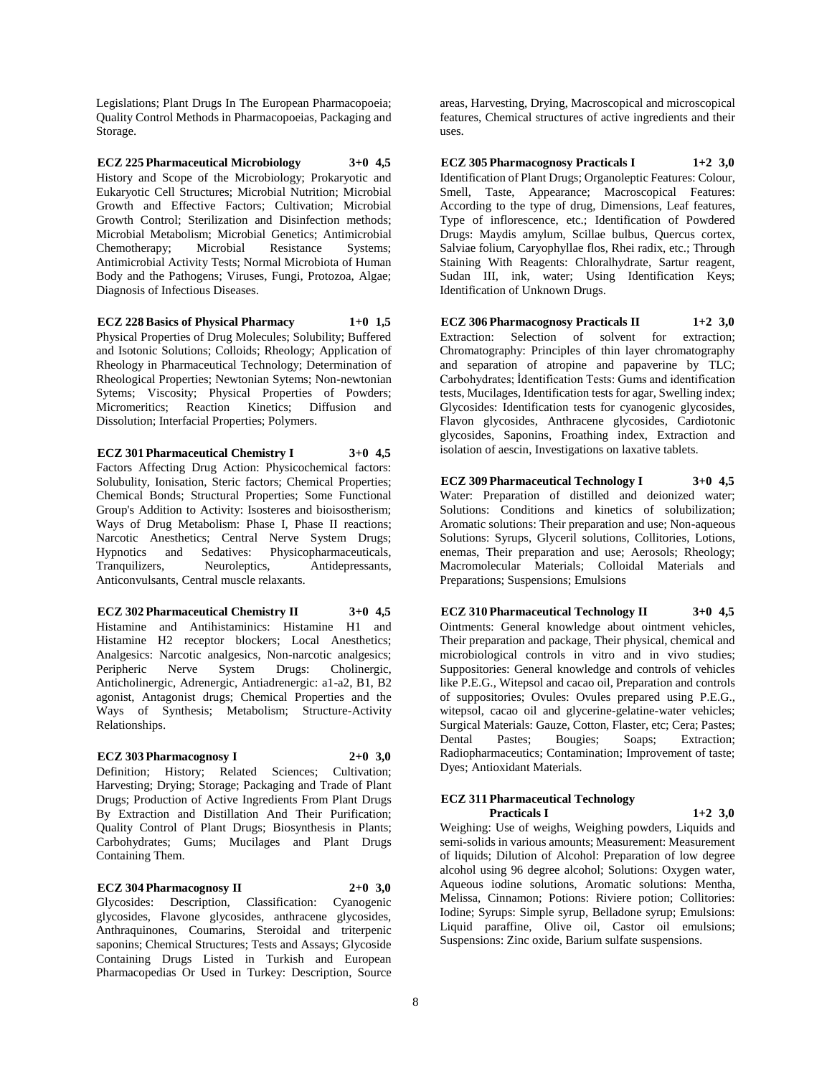Legislations; Plant Drugs In The European Pharmacopoeia; Quality Control Methods in Pharmacopoeias, Packaging and Storage.

**ECZ 225 Pharmaceutical Microbiology 3+0 4,5** History and Scope of the Microbiology; Prokaryotic and Eukaryotic Cell Structures; Microbial Nutrition; Microbial Growth and Effective Factors; Cultivation; Microbial Growth Control; Sterilization and Disinfection methods; Microbial Metabolism; Microbial Genetics; Antimicrobial Chemotherapy; Microbial Resistance Systems; Antimicrobial Activity Tests; Normal Microbiota of Human Body and the Pathogens; Viruses, Fungi, Protozoa, Algae; Diagnosis of Infectious Diseases.

**ECZ 228 Basics of Physical Pharmacy 1+0 1,5** Physical Properties of Drug Molecules; Solubility; Buffered and Isotonic Solutions; Colloids; Rheology; Application of Rheology in Pharmaceutical Technology; Determination of Rheological Properties; Newtonian Sytems; Non-newtonian Sytems; Viscosity; Physical Properties of Powders; Micromeritics; Reaction Kinetics; Diffusion and Dissolution; Interfacial Properties; Polymers.

**ECZ 301 Pharmaceutical Chemistry I 3+0 4,5** Factors Affecting Drug Action: Physicochemical factors: Solubulity, Ionisation, Steric factors; Chemical Properties; Chemical Bonds; Structural Properties; Some Functional Group's Addition to Activity: Isosteres and bioisostherism; Ways of Drug Metabolism: Phase I, Phase II reactions; Narcotic Anesthetics; Central Nerve System Drugs; Hypnotics and Sedatives: Physicopharmaceuticals, Tranquilizers, Neuroleptics, Antidepressants, Anticonvulsants, Central muscle relaxants.

**ECZ 302 Pharmaceutical Chemistry II 3+0 4,5** Histamine and Antihistaminics: Histamine H1 and Histamine H2 receptor blockers; Local Anesthetics; Analgesics: Narcotic analgesics, Non-narcotic analgesics; Peripheric Nerve System Drugs: Cholinergic, Anticholinergic, Adrenergic, Antiadrenergic: a1-a2, B1, B2 agonist, Antagonist drugs; Chemical Properties and the Ways of Synthesis; Metabolism; Structure-Activity Relationships.

## **ECZ 303 Pharmacognosy I 2+0 3,0**

Definition; History; Related Sciences; Cultivation; Harvesting; Drying; Storage; Packaging and Trade of Plant Drugs; Production of Active Ingredients From Plant Drugs By Extraction and Distillation And Their Purification; Quality Control of Plant Drugs; Biosynthesis in Plants; Carbohydrates; Gums; Mucilages and Plant Drugs Containing Them.

## **ECZ 304 Pharmacognosy II 2+0 3,0**

Glycosides: Description, Classification: Cyanogenic glycosides, Flavone glycosides, anthracene glycosides, Anthraquinones, Coumarins, Steroidal and triterpenic saponins; Chemical Structures; Tests and Assays; Glycoside Containing Drugs Listed in Turkish and European Pharmacopedias Or Used in Turkey: Description, Source

areas, Harvesting, Drying, Macroscopical and microscopical features, Chemical structures of active ingredients and their uses.

**ECZ 305 Pharmacognosy Practicals I 1+2 3,0** Identification of Plant Drugs; Organoleptic Features: Colour, Smell, Taste, Appearance; Macroscopical Features: According to the type of drug, Dimensions, Leaf features, Type of inflorescence, etc.; Identification of Powdered Drugs: Maydis amylum, Scillae bulbus, Quercus cortex, Salviae folium, Caryophyllae flos, Rhei radix, etc.; Through Staining With Reagents: Chloralhydrate, Sartur reagent, Sudan III, ink, water; Using Identification Keys; Identification of Unknown Drugs.

**ECZ 306 Pharmacognosy Practicals II 1+2 3,0** Extraction: Selection of solvent for extraction; Chromatography: Principles of thin layer chromatography and separation of atropine and papaverine by TLC; Carbohydrates; İdentification Tests: Gums and identification tests, Mucilages, Identification tests for agar, Swelling index; Glycosides: Identification tests for cyanogenic glycosides, Flavon glycosides, Anthracene glycosides, Cardiotonic glycosides, Saponins, Froathing index, Extraction and isolation of aescin, Investigations on laxative tablets.

## **ECZ 309 Pharmaceutical Technology I 3+0 4,5**

Water: Preparation of distilled and deionized water; Solutions: Conditions and kinetics of solubilization; Aromatic solutions: Their preparation and use; Non-aqueous Solutions: Syrups, Glyceril solutions, Collitories, Lotions, enemas, Their preparation and use; Aerosols; Rheology; Macromolecular Materials; Colloidal Materials and Preparations; Suspensions; Emulsions

**ECZ 310 Pharmaceutical Technology II 3+0 4,5** Ointments: General knowledge about ointment vehicles, Their preparation and package, Their physical, chemical and microbiological controls in vitro and in vivo studies; Suppositories: General knowledge and controls of vehicles like P.E.G., Witepsol and cacao oil, Preparation and controls of suppositories; Ovules: Ovules prepared using P.E.G., witepsol, cacao oil and glycerine-gelatine-water vehicles; Surgical Materials: Gauze, Cotton, Flaster, etc; Cera; Pastes; Dental Pastes; Bougies; Soaps; Extraction; Radiopharmaceutics; Contamination; Improvement of taste; Dyes; Antioxidant Materials.

#### **ECZ 311 Pharmaceutical Technology Practicals I 1+2 3,0**

Weighing: Use of weighs, Weighing powders, Liquids and semi-solids in various amounts; Measurement: Measurement of liquids; Dilution of Alcohol: Preparation of low degree alcohol using 96 degree alcohol; Solutions: Oxygen water, Aqueous iodine solutions, Aromatic solutions: Mentha, Melissa, Cinnamon; Potions: Riviere potion; Collitories: Iodine; Syrups: Simple syrup, Belladone syrup; Emulsions: Liquid paraffine, Olive oil, Castor oil emulsions; Suspensions: Zinc oxide, Barium sulfate suspensions.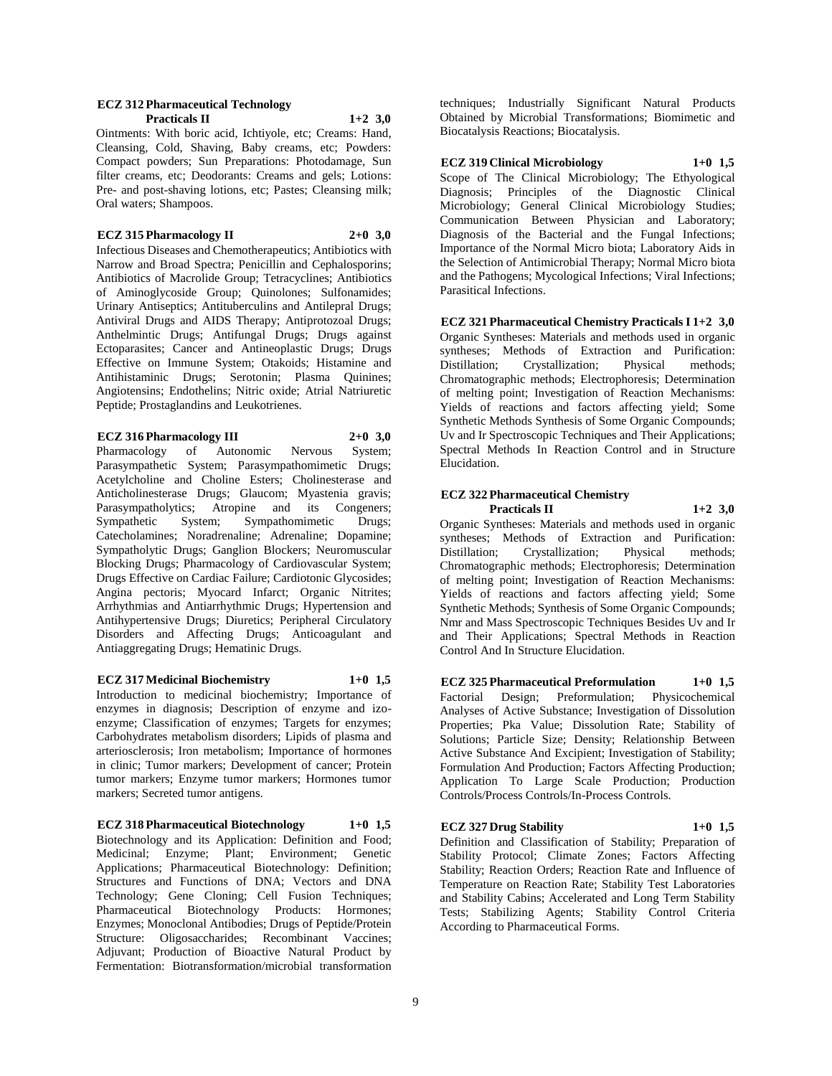#### **ECZ 312 Pharmaceutical Technology Practicals II 1+2 3,0**

Ointments: With boric acid, Ichtiyole, etc; Creams: Hand, Cleansing, Cold, Shaving, Baby creams, etc; Powders: Compact powders; Sun Preparations: Photodamage, Sun filter creams, etc; Deodorants: Creams and gels; Lotions: Pre- and post-shaving lotions, etc; Pastes; Cleansing milk; Oral waters; Shampoos.

## **ECZ 315 Pharmacology II 2+0 3,0**

Infectious Diseases and Chemotherapeutics; Antibiotics with Narrow and Broad Spectra; Penicillin and Cephalosporins; Antibiotics of Macrolide Group; Tetracyclines; Antibiotics of Aminoglycoside Group; Quinolones; Sulfonamides; Urinary Antiseptics; Antituberculins and Antilepral Drugs; Antiviral Drugs and AIDS Therapy; Antiprotozoal Drugs; Anthelmintic Drugs; Antifungal Drugs; Drugs against Ectoparasites; Cancer and Antineoplastic Drugs; Drugs Effective on Immune System; Otakoids; Histamine and Antihistaminic Drugs; Serotonin; Plasma Quinines; Angiotensins; Endothelins; Nitric oxide; Atrial Natriuretic Peptide; Prostaglandins and Leukotrienes.

## **ECZ 316 Pharmacology III 2+0 3,0**

Pharmacology of Autonomic Nervous System; Parasympathetic System; Parasympathomimetic Drugs; Acetylcholine and Choline Esters; Cholinesterase and Anticholinesterase Drugs; Glaucom; Myastenia gravis; Parasympatholytics; Atropine and its Congeners; Sympathetic System; Sympathomimetic Drugs; Catecholamines; Noradrenaline; Adrenaline; Dopamine; Sympatholytic Drugs; Ganglion Blockers; Neuromuscular Blocking Drugs; Pharmacology of Cardiovascular System; Drugs Effective on Cardiac Failure; Cardiotonic Glycosides; Angina pectoris; Myocard Infarct; Organic Nitrites; Arrhythmias and Antiarrhythmic Drugs; Hypertension and Antihypertensive Drugs; Diuretics; Peripheral Circulatory Disorders and Affecting Drugs; Anticoagulant and Antiaggregating Drugs; Hematinic Drugs.

## **ECZ 317 Medicinal Biochemistry 1+0 1,5**

Introduction to medicinal biochemistry; Importance of enzymes in diagnosis; Description of enzyme and izoenzyme; Classification of enzymes; Targets for enzymes; Carbohydrates metabolism disorders; Lipids of plasma and arteriosclerosis; Iron metabolism; Importance of hormones in clinic; Tumor markers; Development of cancer; Protein tumor markers; Enzyme tumor markers; Hormones tumor markers; Secreted tumor antigens.

**ECZ 318 Pharmaceutical Biotechnology 1+0 1,5** Biotechnology and its Application: Definition and Food; Medicinal; Enzyme; Plant; Environment; Genetic Applications; Pharmaceutical Biotechnology: Definition; Structures and Functions of DNA; Vectors and DNA Technology; Gene Cloning; Cell Fusion Techniques; Pharmaceutical Biotechnology Products: Hormones; Enzymes; Monoclonal Antibodies; Drugs of Peptide/Protein Structure: Oligosaccharides; Recombinant Vaccines; Adjuvant; Production of Bioactive Natural Product by Fermentation: Biotransformation/microbial transformation techniques; Industrially Significant Natural Products Obtained by Microbial Transformations; Biomimetic and Biocatalysis Reactions; Biocatalysis.

## **ECZ 319 Clinical Microbiology 1+0 1,5**

Scope of The Clinical Microbiology; The Ethyological Diagnosis; Principles of the Diagnostic Clinical Microbiology; General Clinical Microbiology Studies; Communication Between Physician and Laboratory; Diagnosis of the Bacterial and the Fungal Infections; Importance of the Normal Micro biota; Laboratory Aids in the Selection of Antimicrobial Therapy; Normal Micro biota and the Pathogens; Mycological Infections; Viral Infections; Parasitical Infections.

**ECZ 321 Pharmaceutical Chemistry Practicals I 1+2 3,0**

Organic Syntheses: Materials and methods used in organic syntheses; Methods of Extraction and Purification: Distillation; Crystallization; Physical methods; Chromatographic methods; Electrophoresis; Determination of melting point; Investigation of Reaction Mechanisms: Yields of reactions and factors affecting yield; Some Synthetic Methods Synthesis of Some Organic Compounds; Uv and Ir Spectroscopic Techniques and Their Applications; Spectral Methods In Reaction Control and in Structure Elucidation.

# **ECZ 322 Pharmaceutical Chemistry**

**Practicals II 1+2 3,0** Organic Syntheses: Materials and methods used in organic syntheses; Methods of Extraction and Purification: Distillation; Crystallization; Physical methods; Chromatographic methods; Electrophoresis; Determination of melting point; Investigation of Reaction Mechanisms: Yields of reactions and factors affecting yield; Some Synthetic Methods; Synthesis of Some Organic Compounds; Nmr and Mass Spectroscopic Techniques Besides Uv and Ir and Their Applications; Spectral Methods in Reaction Control And In Structure Elucidation.

**ECZ 325 Pharmaceutical Preformulation 1+0 1,5** Factorial Design; Preformulation; Physicochemical Analyses of Active Substance; Investigation of Dissolution Properties; Pka Value; Dissolution Rate; Stability of Solutions; Particle Size; Density; Relationship Between Active Substance And Excipient; Investigation of Stability; Formulation And Production; Factors Affecting Production; Application To Large Scale Production; Production Controls/Process Controls/In-Process Controls.

**ECZ 327 Drug Stability 1+0 1,5** Definition and Classification of Stability; Preparation of Stability Protocol; Climate Zones; Factors Affecting Stability; Reaction Orders; Reaction Rate and Influence of Temperature on Reaction Rate; Stability Test Laboratories and Stability Cabins; Accelerated and Long Term Stability Tests; Stabilizing Agents; Stability Control Criteria According to Pharmaceutical Forms.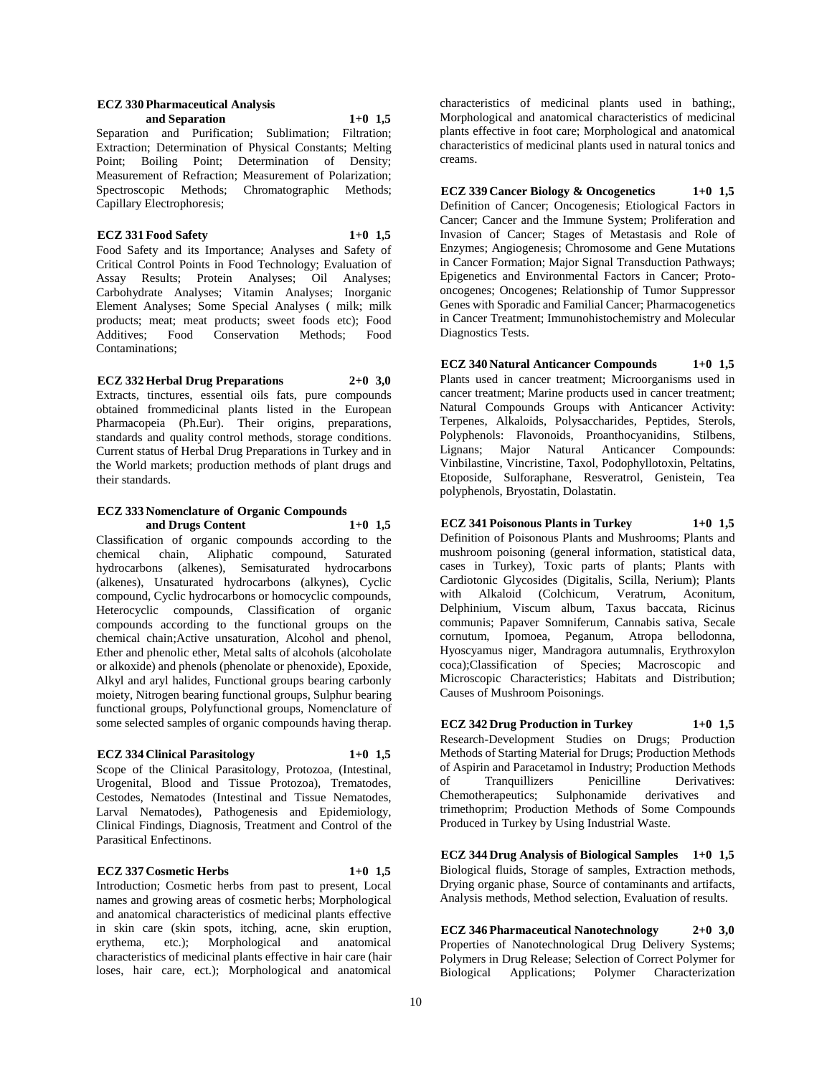#### **ECZ 330 Pharmaceutical Analysis and Separation 1+0 1,5**

Separation and Purification; Sublimation; Filtration; Extraction; Determination of Physical Constants; Melting Point; Boiling Point; Determination of Density; Measurement of Refraction; Measurement of Polarization; Spectroscopic Methods; Chromatographic Methods; Capillary Electrophoresis;

#### **ECZ 331 Food Safety 1+0 1,5**

Food Safety and its Importance; Analyses and Safety of Critical Control Points in Food Technology; Evaluation of Assay Results; Protein Analyses; Oil Analyses; Carbohydrate Analyses; Vitamin Analyses; Inorganic Element Analyses; Some Special Analyses ( milk; milk products; meat; meat products; sweet foods etc); Food Additives; Food Conservation Methods; Food Contaminations;

## **ECZ 332 Herbal Drug Preparations 2+0 3,0**

Extracts, tinctures, essential oils fats, pure compounds obtained frommedicinal plants listed in the European Pharmacopeia (Ph.Eur). Their origins, preparations, standards and quality control methods, storage conditions. Current status of Herbal Drug Preparations in Turkey and in the World markets; production methods of plant drugs and their standards.

#### **ECZ 333 Nomenclature of Organic Compounds and Drugs Content 1+0 1,5**

Classification of organic compounds according to the chemical chain, Aliphatic compound, Saturated hydrocarbons (alkenes), Semisaturated hydrocarbons (alkenes), Unsaturated hydrocarbons (alkynes), Cyclic compound, Cyclic hydrocarbons or homocyclic compounds, Heterocyclic compounds, Classification of organic compounds according to the functional groups on the chemical chain;Active unsaturation, Alcohol and phenol, Ether and phenolic ether, Metal salts of alcohols (alcoholate or alkoxide) and phenols (phenolate or phenoxide), Epoxide, Alkyl and aryl halides, Functional groups bearing carbonly moiety, Nitrogen bearing functional groups, Sulphur bearing functional groups, Polyfunctional groups, Nomenclature of some selected samples of organic compounds having therap.

## **ECZ 334 Clinical Parasitology 1+0 1,5**

Scope of the Clinical Parasitology, Protozoa, (Intestinal, Urogenital, Blood and Tissue Protozoa), Trematodes, Cestodes, Nematodes (Intestinal and Tissue Nematodes, Larval Nematodes), Pathogenesis and Epidemiology, Clinical Findings, Diagnosis, Treatment and Control of the Parasitical Enfectinons.

## **ECZ 337 Cosmetic Herbs 1+0 1,5**

Introduction; Cosmetic herbs from past to present, Local names and growing areas of cosmetic herbs; Morphological and anatomical characteristics of medicinal plants effective in skin care (skin spots, itching, acne, skin eruption, erythema, etc.); Morphological and anatomical characteristics of medicinal plants effective in hair care (hair loses, hair care, ect.); Morphological and anatomical

characteristics of medicinal plants used in bathing;, Morphological and anatomical characteristics of medicinal plants effective in foot care; Morphological and anatomical characteristics of medicinal plants used in natural tonics and creams.

**ECZ 339 Cancer Biology & Oncogenetics 1+0 1,5** Definition of Cancer; Oncogenesis; Etiological Factors in Cancer; Cancer and the Immune System; Proliferation and Invasion of Cancer; Stages of Metastasis and Role of Enzymes; Angiogenesis; Chromosome and Gene Mutations in Cancer Formation; Major Signal Transduction Pathways; Epigenetics and Environmental Factors in Cancer; Protooncogenes; Oncogenes; Relationship of Tumor Suppressor Genes with Sporadic and Familial Cancer; Pharmacogenetics in Cancer Treatment; Immunohistochemistry and Molecular Diagnostics Tests.

**ECZ 340 Natural Anticancer Compounds 1+0 1,5** Plants used in cancer treatment; Microorganisms used in cancer treatment; Marine products used in cancer treatment; Natural Compounds Groups with Anticancer Activity: Terpenes, Alkaloids, Polysaccharides, Peptides, Sterols, Polyphenols: Flavonoids, Proanthocyanidins, Stilbens, Lignans; Major Natural Anticancer Compounds: Vinbilastine, Vincristine, Taxol, Podophyllotoxin, Peltatins, Etoposide, Sulforaphane, Resveratrol, Genistein, Tea polyphenols, Bryostatin, Dolastatin.

## **ECZ 341 Poisonous Plants in Turkey 1+0 1,5**

Definition of Poisonous Plants and Mushrooms; Plants and mushroom poisoning (general information, statistical data, cases in Turkey), Toxic parts of plants; Plants with Cardiotonic Glycosides (Digitalis, Scilla, Nerium); Plants with Alkaloid (Colchicum, Veratrum, Aconitum, Delphinium, Viscum album, Taxus baccata, Ricinus communis; Papaver Somniferum, Cannabis sativa, Secale cornutum, Ipomoea, Peganum, Atropa bellodonna, Hyoscyamus niger, Mandragora autumnalis, Erythroxylon coca);Classification of Species; Macroscopic and Microscopic Characteristics; Habitats and Distribution; Causes of Mushroom Poisonings.

**ECZ 342 Drug Production in Turkey 1+0 1,5** Research-Development Studies on Drugs; Production Methods of Starting Material for Drugs; Production Methods of Aspirin and Paracetamol in Industry; Production Methods of Tranquillizers Penicilline Derivatives: Chemotherapeutics; Sulphonamide derivatives and trimethoprim; Production Methods of Some Compounds Produced in Turkey by Using Industrial Waste.

**ECZ 344 Drug Analysis of Biological Samples 1+0 1,5** Biological fluids, Storage of samples, Extraction methods, Drying organic phase, Source of contaminants and artifacts, Analysis methods, Method selection, Evaluation of results.

**ECZ 346 Pharmaceutical Nanotechnology 2+0 3,0** Properties of Nanotechnological Drug Delivery Systems; Polymers in Drug Release; Selection of Correct Polymer for Biological Applications; Polymer Characterization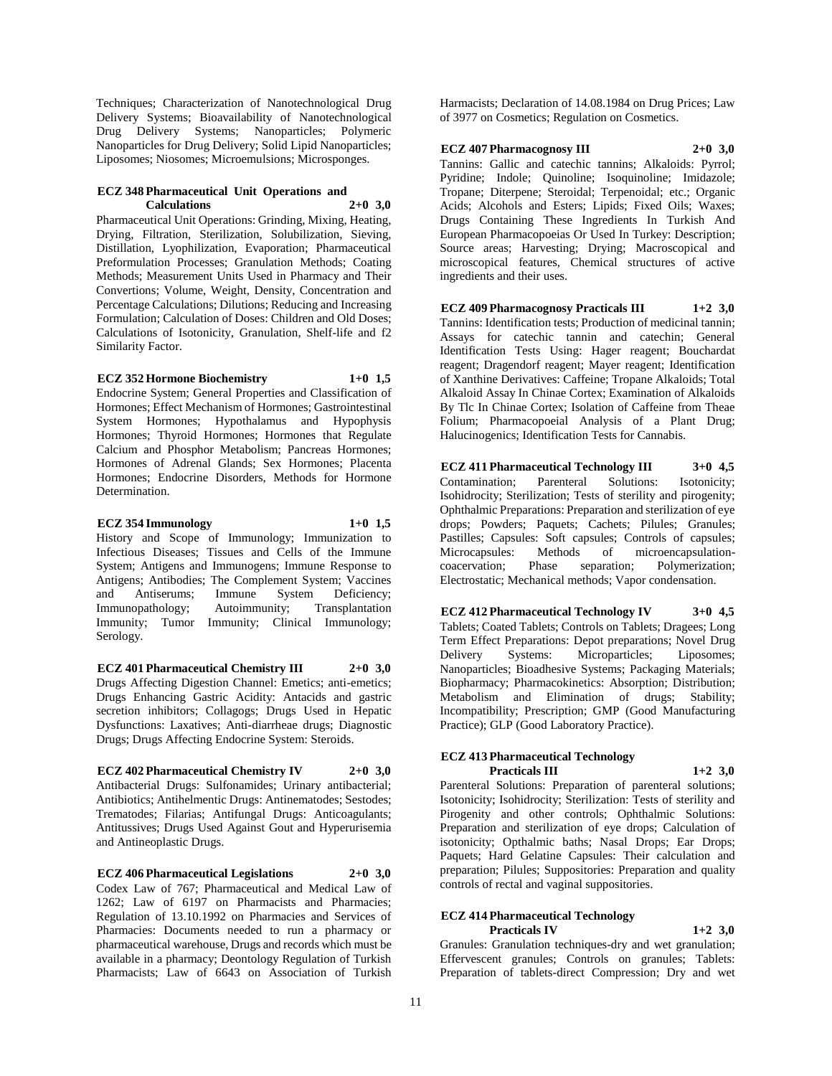Techniques; Characterization of Nanotechnological Drug Delivery Systems; Bioavailability of Nanotechnological Drug Delivery Systems; Nanoparticles; Polymeric Nanoparticles for Drug Delivery; Solid Lipid Nanoparticles; Liposomes; Niosomes; Microemulsions; Microsponges.

#### **ECZ 348 Pharmaceutical Unit Operations and Calculations 2+0 3,0**

Pharmaceutical Unit Operations: Grinding, Mixing, Heating, Drying, Filtration, Sterilization, Solubilization, Sieving, Distillation, Lyophilization, Evaporation; Pharmaceutical Preformulation Processes; Granulation Methods; Coating Methods; Measurement Units Used in Pharmacy and Their Convertions; Volume, Weight, Density, Concentration and Percentage Calculations; Dilutions; Reducing and Increasing Formulation; Calculation of Doses: Children and Old Doses; Calculations of Isotonicity, Granulation, Shelf-life and f2 Similarity Factor.

## **ECZ 352 Hormone Biochemistry 1+0 1,5**

Endocrine System; General Properties and Classification of Hormones; Effect Mechanism of Hormones; Gastrointestinal System Hormones; Hypothalamus and Hypophysis Hormones; Thyroid Hormones; Hormones that Regulate Calcium and Phosphor Metabolism; Pancreas Hormones; Hormones of Adrenal Glands; Sex Hormones; Placenta Hormones; Endocrine Disorders, Methods for Hormone

## **ECZ 354 Immunology 1+0 1,5**

Determination.

History and Scope of Immunology; Immunization to Infectious Diseases; Tissues and Cells of the Immune System; Antigens and Immunogens; Immune Response to Antigens; Antibodies; The Complement System; Vaccines and Antiserums; Immune System Deficiency; Immunopathology; Autoimmunity; Transplantation Immunity; Tumor Immunity; Clinical Immunology; Serology.

**ECZ 401 Pharmaceutical Chemistry III 2+0 3,0** Drugs Affecting Digestion Channel: Emetics; anti-emetics; Drugs Enhancing Gastric Acidity: Antacids and gastric secretion inhibitors; Collagogs; Drugs Used in Hepatic Dysfunctions: Laxatives; Anti-diarrheae drugs; Diagnostic Drugs; Drugs Affecting Endocrine System: Steroids.

**ECZ 402 Pharmaceutical Chemistry IV 2+0 3,0** Antibacterial Drugs: Sulfonamides; Urinary antibacterial; Antibiotics; Antihelmentic Drugs: Antinematodes; Sestodes; Trematodes; Filarias; Antifungal Drugs: Anticoagulants; Antitussives; Drugs Used Against Gout and Hyperurisemia and Antineoplastic Drugs.

**ECZ 406 Pharmaceutical Legislations 2+0 3,0** Codex Law of 767; Pharmaceutical and Medical Law of 1262; Law of 6197 on Pharmacists and Pharmacies; Regulation of 13.10.1992 on Pharmacies and Services of Pharmacies: Documents needed to run a pharmacy or pharmaceutical warehouse, Drugs and records which must be available in a pharmacy; Deontology Regulation of Turkish Pharmacists; Law of 6643 on Association of Turkish

Harmacists; Declaration of 14.08.1984 on Drug Prices; Law of 3977 on Cosmetics; Regulation on Cosmetics.

**ECZ 407 Pharmacognosy III 2+0 3,0** Tannins: Gallic and catechic tannins; Alkaloids: Pyrrol; Pyridine; Indole; Quinoline; Isoquinoline; Imidazole; Tropane; Diterpene; Steroidal; Terpenoidal; etc.; Organic Acids; Alcohols and Esters; Lipids; Fixed Oils; Waxes; Drugs Containing These Ingredients In Turkish And European Pharmacopoeias Or Used In Turkey: Description; Source areas; Harvesting; Drying; Macroscopical and microscopical features, Chemical structures of active ingredients and their uses.

**ECZ 409 Pharmacognosy Practicals III 1+2 3,0** Tannins: Identification tests; Production of medicinal tannin; Assays for catechic tannin and catechin; General Identification Tests Using: Hager reagent; Bouchardat reagent; Dragendorf reagent; Mayer reagent; Identification of Xanthine Derivatives: Caffeine; Tropane Alkaloids; Total Alkaloid Assay In Chinae Cortex; Examination of Alkaloids By Tlc In Chinae Cortex; Isolation of Caffeine from Theae Folium; Pharmacopoeial Analysis of a Plant Drug; Halucinogenics; Identification Tests for Cannabis.

**ECZ 411 Pharmaceutical Technology III 3+0 4,5** Contamination; Parenteral Solutions: Isotonicity; Isohidrocity; Sterilization; Tests of sterility and pirogenity; Ophthalmic Preparations: Preparation and sterilization of eye drops; Powders; Paquets; Cachets; Pilules; Granules; Pastilles; Capsules: Soft capsules; Controls of capsules; Microcapsules: Methods of microencapsulationcoacervation; Phase separation; Polymerization; Electrostatic; Mechanical methods; Vapor condensation.

**ECZ 412 Pharmaceutical Technology IV 3+0 4,5** Tablets; Coated Tablets; Controls on Tablets; Dragees; Long Term Effect Preparations: Depot preparations; Novel Drug Delivery Systems: Microparticles; Liposomes; Nanoparticles; Bioadhesive Systems; Packaging Materials; Biopharmacy; Pharmacokinetics: Absorption; Distribution; Metabolism and Elimination of drugs; Stability; Incompatibility; Prescription; GMP (Good Manufacturing Practice); GLP (Good Laboratory Practice).

#### **ECZ 413 Pharmaceutical Technology Practicals III 1+2 3,0**

Parenteral Solutions: Preparation of parenteral solutions; Isotonicity; Isohidrocity; Sterilization: Tests of sterility and Pirogenity and other controls; Ophthalmic Solutions: Preparation and sterilization of eye drops; Calculation of isotonicity; Opthalmic baths; Nasal Drops; Ear Drops; Paquets; Hard Gelatine Capsules: Their calculation and preparation; Pilules; Suppositories: Preparation and quality controls of rectal and vaginal suppositories.

## **ECZ 414 Pharmaceutical Technology**

**Practicals IV 1+2 3,0**

Granules: Granulation techniques-dry and wet granulation; Effervescent granules; Controls on granules; Tablets: Preparation of tablets-direct Compression; Dry and wet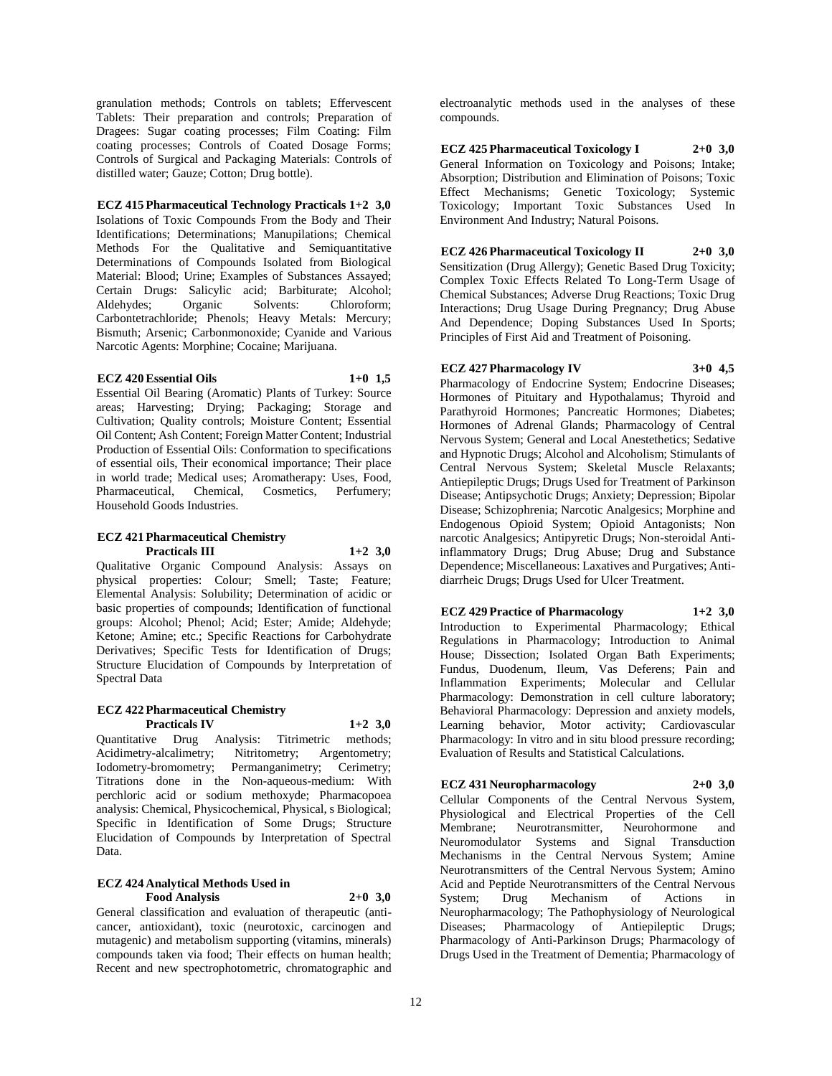granulation methods; Controls on tablets; Effervescent Tablets: Their preparation and controls; Preparation of Dragees: Sugar coating processes; Film Coating: Film coating processes; Controls of Coated Dosage Forms; Controls of Surgical and Packaging Materials: Controls of distilled water; Gauze; Cotton; Drug bottle).

## **ECZ 415 Pharmaceutical Technology Practicals 1+2 3,0**

Isolations of Toxic Compounds From the Body and Their Identifications; Determinations; Manupilations; Chemical Methods For the Qualitative and Semiquantitative Determinations of Compounds Isolated from Biological Material: Blood; Urine; Examples of Substances Assayed; Certain Drugs: Salicylic acid; Barbiturate; Alcohol; Aldehydes; Organic Solvents: Chloroform; Carbontetrachloride; Phenols; Heavy Metals: Mercury; Bismuth; Arsenic; Carbonmonoxide; Cyanide and Various Narcotic Agents: Morphine; Cocaine; Marijuana.

## **ECZ 420 Essential Oils 1+0 1,5**

Essential Oil Bearing (Aromatic) Plants of Turkey: Source areas; Harvesting; Drying; Packaging; Storage and Cultivation; Quality controls; Moisture Content; Essential Oil Content; Ash Content; Foreign Matter Content; Industrial Production of Essential Oils: Conformation to specifications of essential oils, Their economical importance; Their place in world trade; Medical uses; Aromatherapy: Uses, Food, Pharmaceutical, Chemical, Cosmetics, Perfumery; Household Goods Industries.

#### **ECZ 421 Pharmaceutical Chemistry Practicals III 1+2 3,0**

Qualitative Organic Compound Analysis: Assays on physical properties: Colour; Smell; Taste; Feature; Elemental Analysis: Solubility; Determination of acidic or basic properties of compounds; Identification of functional groups: Alcohol; Phenol; Acid; Ester; Amide; Aldehyde; Ketone; Amine; etc.; Specific Reactions for Carbohydrate Derivatives; Specific Tests for Identification of Drugs; Structure Elucidation of Compounds by Interpretation of Spectral Data

#### **ECZ 422 Pharmaceutical Chemistry Practicals IV 1+2 3,0**

Quantitative Drug Analysis: Titrimetric methods; Acidimetry-alcalimetry; Nitritometry; Argentometry; Iodometry-bromometry; Permanganimetry; Cerimetry; Titrations done in the Non-aqueous-medium: With perchloric acid or sodium methoxyde; Pharmacopoea analysis: Chemical, Physicochemical, Physical, s Biological; Specific in Identification of Some Drugs; Structure Elucidation of Compounds by Interpretation of Spectral Data.

#### **ECZ 424 Analytical Methods Used in Food Analysis 2+0 3,0**

General classification and evaluation of therapeutic (anticancer, antioxidant), toxic (neurotoxic, carcinogen and mutagenic) and metabolism supporting (vitamins, minerals) compounds taken via food; Their effects on human health; Recent and new spectrophotometric, chromatographic and

electroanalytic methods used in the analyses of these compounds.

**ECZ 425 Pharmaceutical Toxicology I 2+0 3,0** General Information on Toxicology and Poisons; Intake; Absorption; Distribution and Elimination of Poisons; Toxic Effect Mechanisms; Genetic Toxicology; Systemic Toxicology; Important Toxic Substances Used In Environment And Industry; Natural Poisons.

**ECZ 426 Pharmaceutical Toxicology II 2+0 3,0** Sensitization (Drug Allergy); Genetic Based Drug Toxicity; Complex Toxic Effects Related To Long-Term Usage of Chemical Substances; Adverse Drug Reactions; Toxic Drug Interactions; Drug Usage During Pregnancy; Drug Abuse And Dependence; Doping Substances Used In Sports; Principles of First Aid and Treatment of Poisoning.

**ECZ 427 Pharmacology IV 3+0 4,5** Pharmacology of Endocrine System; Endocrine Diseases; Hormones of Pituitary and Hypothalamus; Thyroid and Parathyroid Hormones; Pancreatic Hormones; Diabetes; Hormones of Adrenal Glands; Pharmacology of Central Nervous System; General and Local Anestethetics; Sedative and Hypnotic Drugs; Alcohol and Alcoholism; Stimulants of Central Nervous System; Skeletal Muscle Relaxants; Antiepileptic Drugs; Drugs Used for Treatment of Parkinson Disease; Antipsychotic Drugs; Anxiety; Depression; Bipolar Disease; Schizophrenia; Narcotic Analgesics; Morphine and Endogenous Opioid System; Opioid Antagonists; Non narcotic Analgesics; Antipyretic Drugs; Non-steroidal Antiinflammatory Drugs; Drug Abuse; Drug and Substance Dependence; Miscellaneous: Laxatives and Purgatives; Antidiarrheic Drugs; Drugs Used for Ulcer Treatment.

**ECZ 429 Practice of Pharmacology 1+2 3,0** Introduction to Experimental Pharmacology; Ethical Regulations in Pharmacology; Introduction to Animal House; Dissection; Isolated Organ Bath Experiments; Fundus, Duodenum, Ileum, Vas Deferens; Pain and Inflammation Experiments; Molecular and Cellular Pharmacology: Demonstration in cell culture laboratory; Behavioral Pharmacology: Depression and anxiety models, Learning behavior, Motor activity; Cardiovascular Pharmacology: In vitro and in situ blood pressure recording; Evaluation of Results and Statistical Calculations.

## **ECZ 431 Neuropharmacology 2+0 3,0**

Cellular Components of the Central Nervous System, Physiological and Electrical Properties of the Cell Neurotransmitter, Neurohormone and Neuromodulator Systems and Signal Transduction Mechanisms in the Central Nervous System; Amine Neurotransmitters of the Central Nervous System; Amino Acid and Peptide Neurotransmitters of the Central Nervous System; Drug Mechanism of Actions in Neuropharmacology; The Pathophysiology of Neurological Diseases; Pharmacology of Antiepileptic Drugs; Pharmacology of Anti-Parkinson Drugs; Pharmacology of Drugs Used in the Treatment of Dementia; Pharmacology of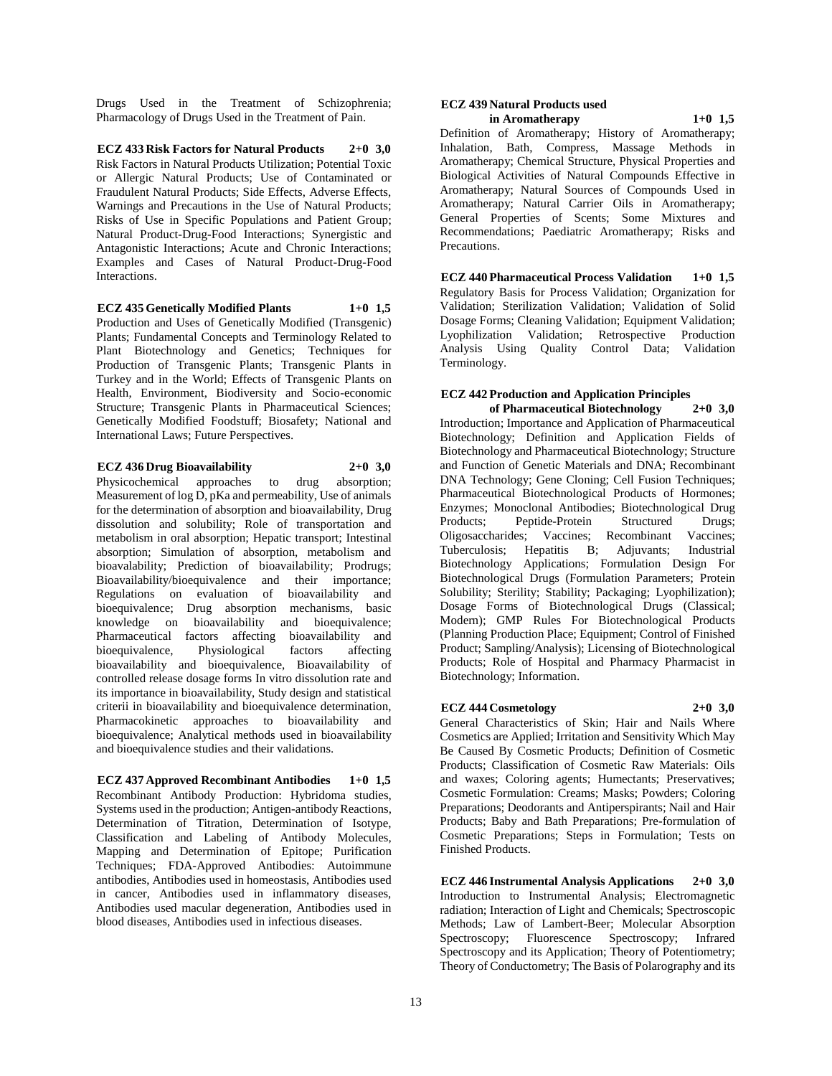Drugs Used in the Treatment of Schizophrenia; Pharmacology of Drugs Used in the Treatment of Pain.

**ECZ 433 Risk Factors for Natural Products 2+0 3,0** Risk Factors in Natural Products Utilization; Potential Toxic or Allergic Natural Products; Use of Contaminated or Fraudulent Natural Products; Side Effects, Adverse Effects, Warnings and Precautions in the Use of Natural Products; Risks of Use in Specific Populations and Patient Group; Natural Product-Drug-Food Interactions; Synergistic and Antagonistic Interactions; Acute and Chronic Interactions; Examples and Cases of Natural Product-Drug-Food Interactions.

**ECZ 435 Genetically Modified Plants 1+0 1,5**

Production and Uses of Genetically Modified (Transgenic) Plants; Fundamental Concepts and Terminology Related to Plant Biotechnology and Genetics; Techniques for Production of Transgenic Plants; Transgenic Plants in Turkey and in the World; Effects of Transgenic Plants on Health, Environment, Biodiversity and Socio-economic Structure; Transgenic Plants in Pharmaceutical Sciences; Genetically Modified Foodstuff; Biosafety; National and International Laws; Future Perspectives.

## **ECZ 436 Drug Bioavailability 2+0 3,0**

Physicochemical approaches to drug absorption; Measurement of log D, pKa and permeability, Use of animals for the determination of absorption and bioavailability, Drug dissolution and solubility; Role of transportation and metabolism in oral absorption; Hepatic transport; Intestinal absorption; Simulation of absorption, metabolism and bioavalability; Prediction of bioavailability; Prodrugs; Bioavailability/bioequivalence and their importance; Regulations on evaluation of bioavailability and bioequivalence; Drug absorption mechanisms, basic knowledge on bioavailability and bioequivalence; Pharmaceutical factors affecting bioavailability and bioequivalence, Physiological factors affecting bioavailability and bioequivalence, Bioavailability of controlled release dosage forms In vitro dissolution rate and its importance in bioavailability, Study design and statistical criterii in bioavailability and bioequivalence determination, Pharmacokinetic approaches to bioavailability and bioequivalence; Analytical methods used in bioavailability and bioequivalence studies and their validations.

**ECZ 437 Approved Recombinant Antibodies 1+0 1,5** Recombinant Antibody Production: Hybridoma studies, Systems used in the production; Antigen-antibody Reactions, Determination of Titration, Determination of Isotype, Classification and Labeling of Antibody Molecules, Mapping and Determination of Epitope; Purification Techniques; FDA-Approved Antibodies: Autoimmune antibodies, Antibodies used in homeostasis, Antibodies used in cancer, Antibodies used in inflammatory diseases, Antibodies used macular degeneration, Antibodies used in blood diseases, Antibodies used in infectious diseases.

#### **ECZ 439 Natural Products used in Aromatherapy 1+0 1,5**

Definition of Aromatherapy; History of Aromatherapy; Inhalation, Bath, Compress, Massage Methods in Aromatherapy; Chemical Structure, Physical Properties and Biological Activities of Natural Compounds Effective in Aromatherapy; Natural Sources of Compounds Used in Aromatherapy; Natural Carrier Oils in Aromatherapy; General Properties of Scents; Some Mixtures and Recommendations; Paediatric Aromatherapy; Risks and **Precautions** 

**ECZ 440 Pharmaceutical Process Validation 1+0 1,5** Regulatory Basis for Process Validation; Organization for Validation; Sterilization Validation; Validation of Solid Dosage Forms; Cleaning Validation; Equipment Validation; Lyophilization Validation; Retrospective Production Analysis Using Quality Control Data; Validation Terminology.

## **ECZ 442 Production and Application Principles**

**of Pharmaceutical Biotechnology 2+0 3,0** Introduction; Importance and Application of Pharmaceutical Biotechnology; Definition and Application Fields of Biotechnology and Pharmaceutical Biotechnology; Structure and Function of Genetic Materials and DNA; Recombinant DNA Technology; Gene Cloning; Cell Fusion Techniques; Pharmaceutical Biotechnological Products of Hormones; Enzymes; Monoclonal Antibodies; Biotechnological Drug Products; Peptide-Protein Structured Drugs; Oligosaccharides; Vaccines; Recombinant Vaccines; Tuberculosis; Hepatitis B; Adjuvants; Industrial Biotechnology Applications; Formulation Design For Biotechnological Drugs (Formulation Parameters; Protein Solubility; Sterility; Stability; Packaging; Lyophilization); Dosage Forms of Biotechnological Drugs (Classical; Modern); GMP Rules For Biotechnological Products (Planning Production Place; Equipment; Control of Finished Product; Sampling/Analysis); Licensing of Biotechnological Products; Role of Hospital and Pharmacy Pharmacist in Biotechnology; Information.

#### **ECZ 444 Cosmetology 2+0 3,0**

General Characteristics of Skin; Hair and Nails Where Cosmetics are Applied; Irritation and Sensitivity Which May Be Caused By Cosmetic Products; Definition of Cosmetic Products; Classification of Cosmetic Raw Materials: Oils and waxes; Coloring agents; Humectants; Preservatives; Cosmetic Formulation: Creams; Masks; Powders; Coloring Preparations; Deodorants and Antiperspirants; Nail and Hair Products; Baby and Bath Preparations; Pre-formulation of Cosmetic Preparations; Steps in Formulation; Tests on Finished Products.

**ECZ 446 Instrumental Analysis Applications 2+0 3,0** Introduction to Instrumental Analysis; Electromagnetic radiation; Interaction of Light and Chemicals; Spectroscopic Methods; Law of Lambert-Beer; Molecular Absorption Spectroscopy; Fluorescence Spectroscopy; Infrared Spectroscopy and its Application; Theory of Potentiometry; Theory of Conductometry; The Basis of Polarography and its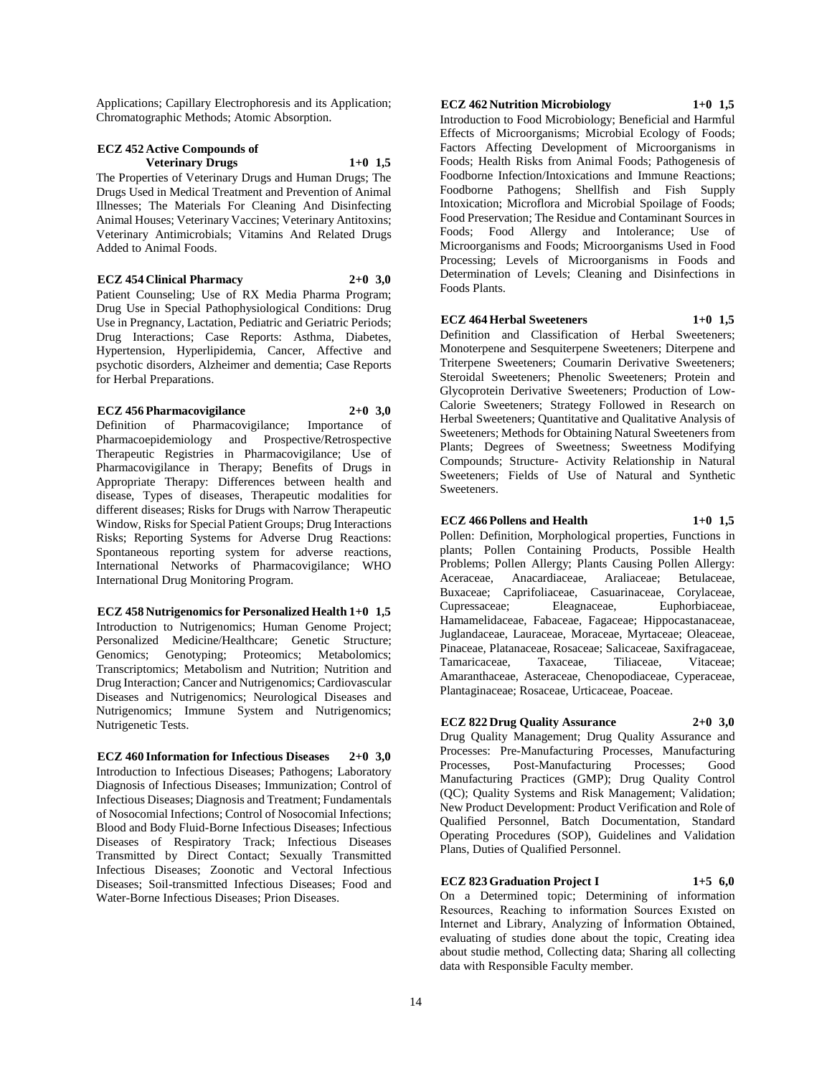Applications; Capillary Electrophoresis and its Application; Chromatographic Methods; Atomic Absorption.

## **ECZ 452 Active Compounds of Veterinary Drugs 1+0 1,5**

The Properties of Veterinary Drugs and Human Drugs; The Drugs Used in Medical Treatment and Prevention of Animal Illnesses; The Materials For Cleaning And Disinfecting Animal Houses; Veterinary Vaccines; Veterinary Antitoxins; Veterinary Antimicrobials; Vitamins And Related Drugs Added to Animal Foods.

**ECZ 454 Clinical Pharmacy 2+0 3,0**

Patient Counseling; Use of RX Media Pharma Program; Drug Use in Special Pathophysiological Conditions: Drug Use in Pregnancy, Lactation, Pediatric and Geriatric Periods; Drug Interactions; Case Reports: Asthma, Diabetes, Hypertension, Hyperlipidemia, Cancer, Affective and psychotic disorders, Alzheimer and dementia; Case Reports for Herbal Preparations.

## **ECZ 456 Pharmacovigilance 2+0 3,0**

Definition of Pharmacovigilance; Importance of Pharmacoepidemiology and Prospective/Retrospective Therapeutic Registries in Pharmacovigilance; Use of Pharmacovigilance in Therapy; Benefits of Drugs in Appropriate Therapy: Differences between health and disease, Types of diseases, Therapeutic modalities for different diseases; Risks for Drugs with Narrow Therapeutic Window, Risks for Special Patient Groups; Drug Interactions Risks; Reporting Systems for Adverse Drug Reactions: Spontaneous reporting system for adverse reactions, International Networks of Pharmacovigilance; WHO International Drug Monitoring Program.

**ECZ 458 Nutrigenomics for Personalized Health 1+0 1,5** Introduction to Nutrigenomics; Human Genome Project; Personalized Medicine/Healthcare; Genetic Structure; Genomics; Genotyping; Proteomics; Metabolomics; Transcriptomics; Metabolism and Nutrition; Nutrition and Drug Interaction; Cancer and Nutrigenomics; Cardiovascular Diseases and Nutrigenomics; Neurological Diseases and Nutrigenomics; Immune System and Nutrigenomics; Nutrigenetic Tests.

**ECZ 460 Information for Infectious Diseases 2+0 3,0** Introduction to Infectious Diseases; Pathogens; Laboratory Diagnosis of Infectious Diseases; Immunization; Control of Infectious Diseases; Diagnosis and Treatment; Fundamentals of Nosocomial Infections; Control of Nosocomial Infections; Blood and Body Fluid-Borne Infectious Diseases; Infectious Diseases of Respiratory Track; Infectious Diseases Transmitted by Direct Contact; Sexually Transmitted Infectious Diseases; Zoonotic and Vectoral Infectious Diseases; Soil-transmitted Infectious Diseases; Food and Water-Borne Infectious Diseases; Prion Diseases.

## **ECZ 462 Nutrition Microbiology 1+0 1,5**

Introduction to Food Microbiology; Beneficial and Harmful Effects of Microorganisms; Microbial Ecology of Foods; Factors Affecting Development of Microorganisms in Foods; Health Risks from Animal Foods; Pathogenesis of Foodborne Infection/Intoxications and Immune Reactions; Foodborne Pathogens; Shellfish and Fish Supply Intoxication; Microflora and Microbial Spoilage of Foods; Food Preservation; The Residue and Contaminant Sources in Foods; Food Allergy and Intolerance; Use of Microorganisms and Foods; Microorganisms Used in Food Processing; Levels of Microorganisms in Foods and Determination of Levels; Cleaning and Disinfections in Foods Plants.

#### **ECZ 464 Herbal Sweeteners 1+0 1,5**

Definition and Classification of Herbal Sweeteners; Monoterpene and Sesquiterpene Sweeteners; Diterpene and Triterpene Sweeteners; Coumarin Derivative Sweeteners; Steroidal Sweeteners; Phenolic Sweeteners; Protein and Glycoprotein Derivative Sweeteners; Production of Low-Calorie Sweeteners; Strategy Followed in Research on Herbal Sweeteners; Quantitative and Qualitative Analysis of Sweeteners; Methods for Obtaining Natural Sweeteners from Plants; Degrees of Sweetness; Sweetness Modifying Compounds; Structure- Activity Relationship in Natural Sweeteners; Fields of Use of Natural and Synthetic Sweeteners.

## **ECZ 466 Pollens and Health 1+0 1,5**

Pollen: Definition, Morphological properties, Functions in plants; Pollen Containing Products, Possible Health Problems; Pollen Allergy; Plants Causing Pollen Allergy: Aceraceae, Anacardiaceae, Araliaceae; Betulaceae, Buxaceae; Caprifoliaceae, Casuarinaceae, Corylaceae, Cupressaceae; Eleagnaceae, Euphorbiaceae, Hamamelidaceae, Fabaceae, Fagaceae; Hippocastanaceae, Juglandaceae, Lauraceae, Moraceae, Myrtaceae; Oleaceae, Pinaceae, Platanaceae, Rosaceae; Salicaceae, Saxifragaceae, Tamaricaceae, Taxaceae, Tiliaceae, Vitaceae; Amaranthaceae, Asteraceae, Chenopodiaceae, Cyperaceae, Plantaginaceae; Rosaceae, Urticaceae, Poaceae.

**ECZ 822 Drug Quality Assurance 2+0 3,0** Drug Quality Management; Drug Quality Assurance and Processes: Pre-Manufacturing Processes, Manufacturing Processes, Post-Manufacturing Processes; Good Manufacturing Practices (GMP); Drug Quality Control (QC); Quality Systems and Risk Management; Validation; New Product Development: Product Verification and Role of Qualified Personnel, Batch Documentation, Standard Operating Procedures (SOP), Guidelines and Validation Plans, Duties of Qualified Personnel.

## **ECZ 823 Graduation Project I 1+5 6,0**

On a Determined topic; Determining of information Resources, Reaching to information Sources Exısted on Internet and Library, Analyzing of İnformation Obtained, evaluating of studies done about the topic, Creating idea about studie method, Collecting data; Sharing all collecting data with Responsible Faculty member.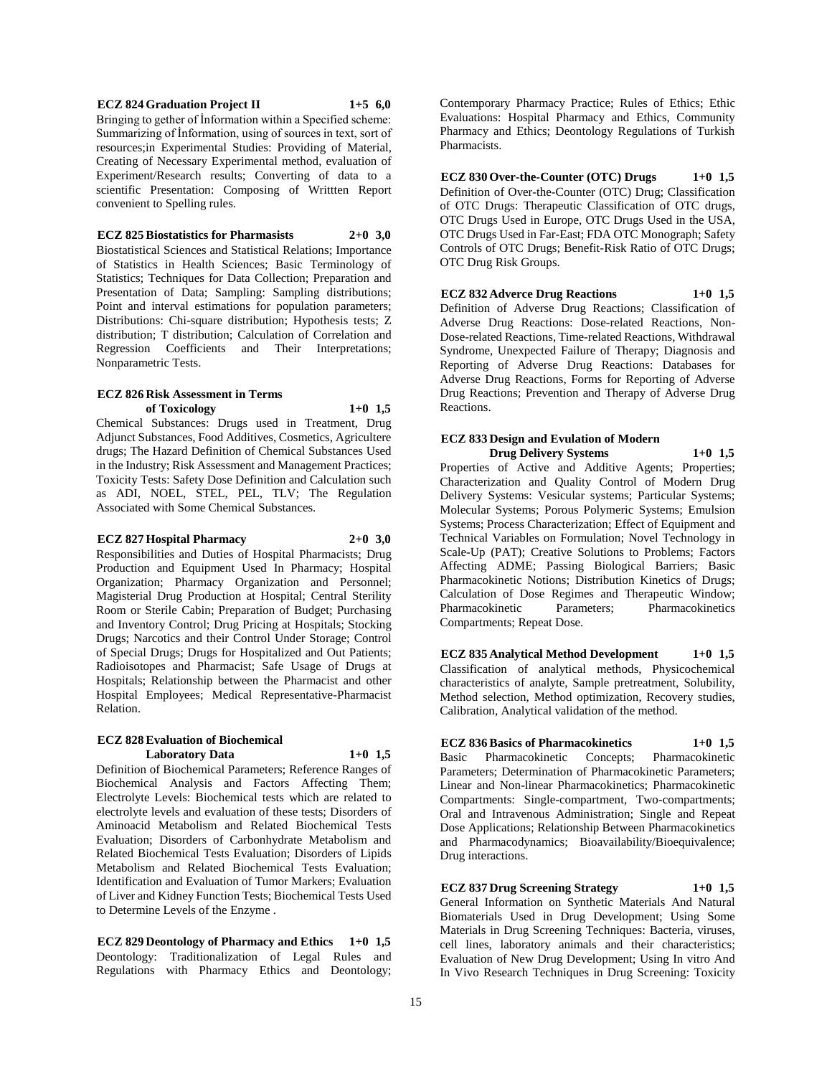## **ECZ 824 Graduation Project II 1+5 6,0**

Bringing to gether of İnformation within a Specified scheme: Summarizing of İnformation, using of sources in text, sort of resources;in Experimental Studies: Providing of Material, Creating of Necessary Experimental method, evaluation of Experiment/Research results; Converting of data to a scientific Presentation: Composing of Writtten Report convenient to Spelling rules.

**ECZ 825 Biostatistics for Pharmasists 2+0 3,0**

Biostatistical Sciences and Statistical Relations; Importance of Statistics in Health Sciences; Basic Terminology of Statistics; Techniques for Data Collection; Preparation and Presentation of Data; Sampling: Sampling distributions; Point and interval estimations for population parameters; Distributions: Chi-square distribution; Hypothesis tests; Z distribution; T distribution; Calculation of Correlation and Regression Coefficients and Their Interpretations; Nonparametric Tests.

#### **ECZ 826 Risk Assessment in Terms of Toxicology 1+0 1,5**

Chemical Substances: Drugs used in Treatment, Drug Adjunct Substances, Food Additives, Cosmetics, Agricultere drugs; The Hazard Definition of Chemical Substances Used in the Industry; Risk Assessment and Management Practices; Toxicity Tests: Safety Dose Definition and Calculation such as ADI, NOEL, STEL, PEL, TLV; The Regulation Associated with Some Chemical Substances.

#### **ECZ 827 Hospital Pharmacy 2+0 3,0**

Responsibilities and Duties of Hospital Pharmacists; Drug Production and Equipment Used In Pharmacy; Hospital Organization; Pharmacy Organization and Personnel; Magisterial Drug Production at Hospital; Central Sterility Room or Sterile Cabin; Preparation of Budget; Purchasing and Inventory Control; Drug Pricing at Hospitals; Stocking Drugs; Narcotics and their Control Under Storage; Control of Special Drugs; Drugs for Hospitalized and Out Patients; Radioisotopes and Pharmacist; Safe Usage of Drugs at Hospitals; Relationship between the Pharmacist and other Hospital Employees; Medical Representative-Pharmacist Relation.

#### **ECZ 828 Evaluation of Biochemical Laboratory Data 1+0 1,5**

Definition of Biochemical Parameters; Reference Ranges of Biochemical Analysis and Factors Affecting Them; Electrolyte Levels: Biochemical tests which are related to electrolyte levels and evaluation of these tests; Disorders of Aminoacid Metabolism and Related Biochemical Tests Evaluation; Disorders of Carbonhydrate Metabolism and Related Biochemical Tests Evaluation; Disorders of Lipids Metabolism and Related Biochemical Tests Evaluation; Identification and Evaluation of Tumor Markers; Evaluation of Liver and Kidney Function Tests; Biochemical Tests Used to Determine Levels of the Enzyme .

**ECZ 829 Deontology of Pharmacy and Ethics 1+0 1,5** Deontology: Traditionalization of Legal Rules and Regulations with Pharmacy Ethics and Deontology;

Contemporary Pharmacy Practice; Rules of Ethics; Ethic Evaluations: Hospital Pharmacy and Ethics, Community Pharmacy and Ethics; Deontology Regulations of Turkish Pharmacists.

**ECZ 830 Over-the-Counter (OTC) Drugs 1+0 1,5** Definition of Over-the-Counter (OTC) Drug; Classification of OTC Drugs: Therapeutic Classification of OTC drugs, OTC Drugs Used in Europe, OTC Drugs Used in the USA, OTC Drugs Used in Far-East; FDA OTC Monograph; Safety Controls of OTC Drugs; Benefit-Risk Ratio of OTC Drugs; OTC Drug Risk Groups.

**ECZ 832 Adverce Drug Reactions 1+0 1,5** Definition of Adverse Drug Reactions; Classification of Adverse Drug Reactions: Dose-related Reactions, Non-Dose-related Reactions, Time-related Reactions, Withdrawal Syndrome, Unexpected Failure of Therapy; Diagnosis and Reporting of Adverse Drug Reactions: Databases for Adverse Drug Reactions, Forms for Reporting of Adverse Drug Reactions; Prevention and Therapy of Adverse Drug Reactions.

## **ECZ 833 Design and Evulation of Modern Drug Delivery Systems 1+0 1,5**

Properties of Active and Additive Agents; Properties; Characterization and Quality Control of Modern Drug Delivery Systems: Vesicular systems; Particular Systems; Molecular Systems; Porous Polymeric Systems; Emulsion Systems; Process Characterization; Effect of Equipment and Technical Variables on Formulation; Novel Technology in Scale-Up (PAT); Creative Solutions to Problems; Factors Affecting ADME; Passing Biological Barriers; Basic Pharmacokinetic Notions; Distribution Kinetics of Drugs; Calculation of Dose Regimes and Therapeutic Window; Pharmacokinetic Parameters; Pharmacokinetics Compartments; Repeat Dose.

**ECZ 835 Analytical Method Development 1+0 1,5** Classification of analytical methods, Physicochemical characteristics of analyte, Sample pretreatment, Solubility, Method selection, Method optimization, Recovery studies, Calibration, Analytical validation of the method.

## **ECZ 836 Basics of Pharmacokinetics 1+0 1,5**

Basic Pharmacokinetic Concepts; Pharmacokinetic Parameters; Determination of Pharmacokinetic Parameters; Linear and Non-linear Pharmacokinetics; Pharmacokinetic Compartments: Single-compartment, Two-compartments; Oral and Intravenous Administration; Single and Repeat Dose Applications; Relationship Between Pharmacokinetics and Pharmacodynamics; Bioavailability/Bioequivalence; Drug interactions.

## **ECZ 837 Drug Screening Strategy 1+0 1,5**

General Information on Synthetic Materials And Natural Biomaterials Used in Drug Development; Using Some Materials in Drug Screening Techniques: Bacteria, viruses, cell lines, laboratory animals and their characteristics; Evaluation of New Drug Development; Using In vitro And In Vivo Research Techniques in Drug Screening: Toxicity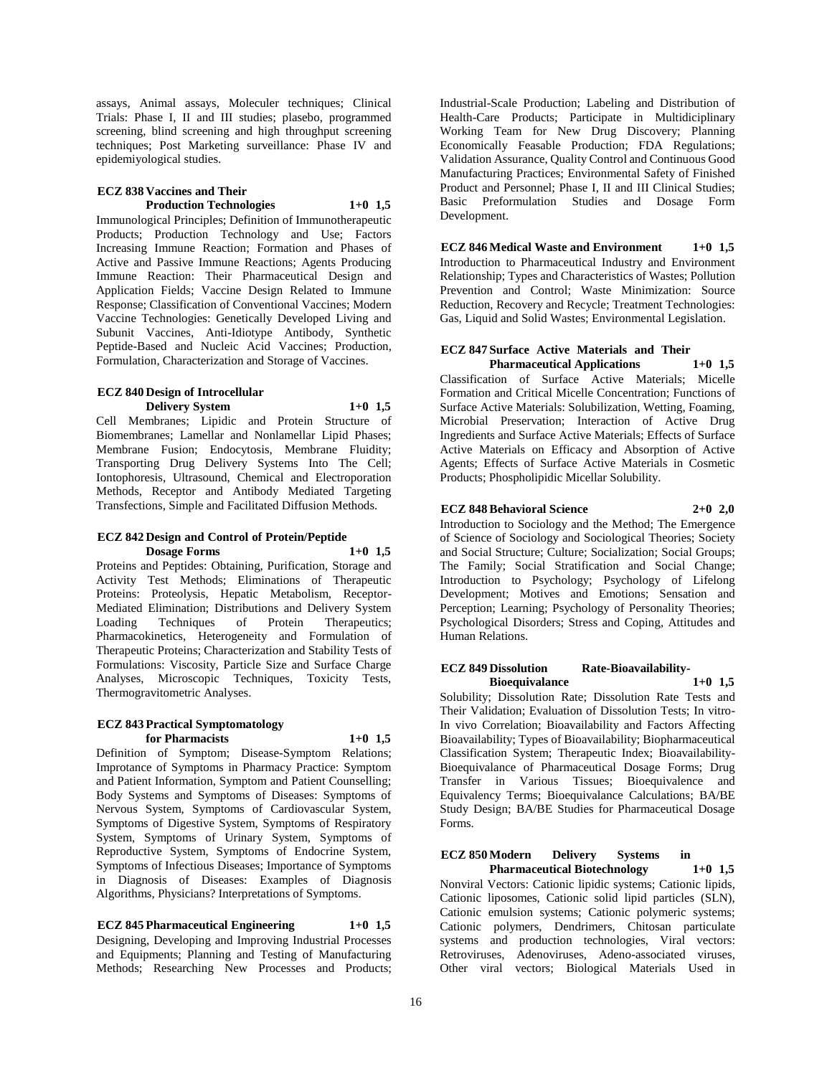assays, Animal assays, Moleculer techniques; Clinical Trials: Phase I, II and III studies; plasebo, programmed screening, blind screening and high throughput screening techniques; Post Marketing surveillance: Phase IV and epidemiyological studies.

#### **ECZ 838 Vaccines and Their Production Technologies 1+0 1,5**

Immunological Principles; Definition of Immunotherapeutic Products; Production Technology and Use; Factors Increasing Immune Reaction; Formation and Phases of Active and Passive Immune Reactions; Agents Producing Immune Reaction: Their Pharmaceutical Design and Application Fields; Vaccine Design Related to Immune Response; Classification of Conventional Vaccines; Modern Vaccine Technologies: Genetically Developed Living and Subunit Vaccines, Anti-Idiotype Antibody, Synthetic Peptide-Based and Nucleic Acid Vaccines; Production, Formulation, Characterization and Storage of Vaccines.

#### **ECZ 840 Design of Introcellular Delivery System 1+0 1,5**

Cell Membranes; Lipidic and Protein Structure of Biomembranes; Lamellar and Nonlamellar Lipid Phases; Membrane Fusion; Endocytosis, Membrane Fluidity; Transporting Drug Delivery Systems Into The Cell; Iontophoresis, Ultrasound, Chemical and Electroporation Methods, Receptor and Antibody Mediated Targeting Transfections, Simple and Facilitated Diffusion Methods.

#### **ECZ 842 Design and Control of Protein/Peptide Dosage Forms 1+0 1,5**

Proteins and Peptides: Obtaining, Purification, Storage and Activity Test Methods; Eliminations of Therapeutic Proteins: Proteolysis, Hepatic Metabolism, Receptor-Mediated Elimination; Distributions and Delivery System Loading Techniques of Protein Therapeutics; Pharmacokinetics, Heterogeneity and Formulation of Therapeutic Proteins; Characterization and Stability Tests of Formulations: Viscosity, Particle Size and Surface Charge Analyses, Microscopic Techniques, Toxicity Tests, Thermogravitometric Analyses.

#### **ECZ 843 Practical Symptomatology for Pharmacists 1+0 1,5**

Definition of Symptom; Disease-Symptom Relations; Improtance of Symptoms in Pharmacy Practice: Symptom and Patient Information, Symptom and Patient Counselling; Body Systems and Symptoms of Diseases: Symptoms of Nervous System, Symptoms of Cardiovascular System, Symptoms of Digestive System, Symptoms of Respiratory System, Symptoms of Urinary System, Symptoms of Reproductive System, Symptoms of Endocrine System, Symptoms of Infectious Diseases; Importance of Symptoms in Diagnosis of Diseases: Examples of Diagnosis Algorithms, Physicians? Interpretations of Symptoms.

## **ECZ 845 Pharmaceutical Engineering 1+0 1,5**

Designing, Developing and Improving Industrial Processes and Equipments; Planning and Testing of Manufacturing Methods; Researching New Processes and Products;

Industrial-Scale Production; Labeling and Distribution of Health-Care Products; Participate in Multidiciplinary Working Team for New Drug Discovery; Planning Economically Feasable Production; FDA Regulations; Validation Assurance, Quality Control and Continuous Good Manufacturing Practices; Environmental Safety of Finished Product and Personnel; Phase I, II and III Clinical Studies; Basic Preformulation Studies and Dosage Form Development.

**ECZ 846 Medical Waste and Environment 1+0 1,5** Introduction to Pharmaceutical Industry and Environment Relationship; Types and Characteristics of Wastes; Pollution Prevention and Control; Waste Minimization: Source Reduction, Recovery and Recycle; Treatment Technologies: Gas, Liquid and Solid Wastes; Environmental Legislation.

## **ECZ 847 Surface Active Materials and Their Pharmaceutical Applications 1+0 1,5**

Classification of Surface Active Materials; Micelle Formation and Critical Micelle Concentration; Functions of Surface Active Materials: Solubilization, Wetting, Foaming, Microbial Preservation; Interaction of Active Drug Ingredients and Surface Active Materials; Effects of Surface Active Materials on Efficacy and Absorption of Active Agents; Effects of Surface Active Materials in Cosmetic Products; Phospholipidic Micellar Solubility.

**ECZ 848 Behavioral Science 2+0 2,0**

Introduction to Sociology and the Method; The Emergence of Science of Sociology and Sociological Theories; Society and Social Structure; Culture; Socialization; Social Groups; The Family; Social Stratification and Social Change; Introduction to Psychology; Psychology of Lifelong Development; Motives and Emotions; Sensation and Perception; Learning; Psychology of Personality Theories; Psychological Disorders; Stress and Coping, Attitudes and Human Relations.

## **ECZ 849 Dissolution Rate-Bioavailability-**

**Bioequivalance 1+0 1,5** Solubility; Dissolution Rate; Dissolution Rate Tests and Their Validation; Evaluation of Dissolution Tests; In vitro-In vivo Correlation; Bioavailability and Factors Affecting Bioavailability; Types of Bioavailability; Biopharmaceutical Classification System; Therapeutic Index; Bioavailability-Bioequivalance of Pharmaceutical Dosage Forms; Drug Transfer in Various Tissues; Bioequivalence and Equivalency Terms; Bioequivalance Calculations; BA/BE Study Design; BA/BE Studies for Pharmaceutical Dosage Forms.

**ECZ 850 Modern Delivery Systems in Pharmaceutical Biotechnology 1+0 1,5**

Nonviral Vectors: Cationic lipidic systems; Cationic lipids, Cationic liposomes, Cationic solid lipid particles (SLN), Cationic emulsion systems; Cationic polymeric systems; Cationic polymers, Dendrimers, Chitosan particulate systems and production technologies, Viral vectors: Retroviruses, Adenoviruses, Adeno-associated viruses, Other viral vectors; Biological Materials Used in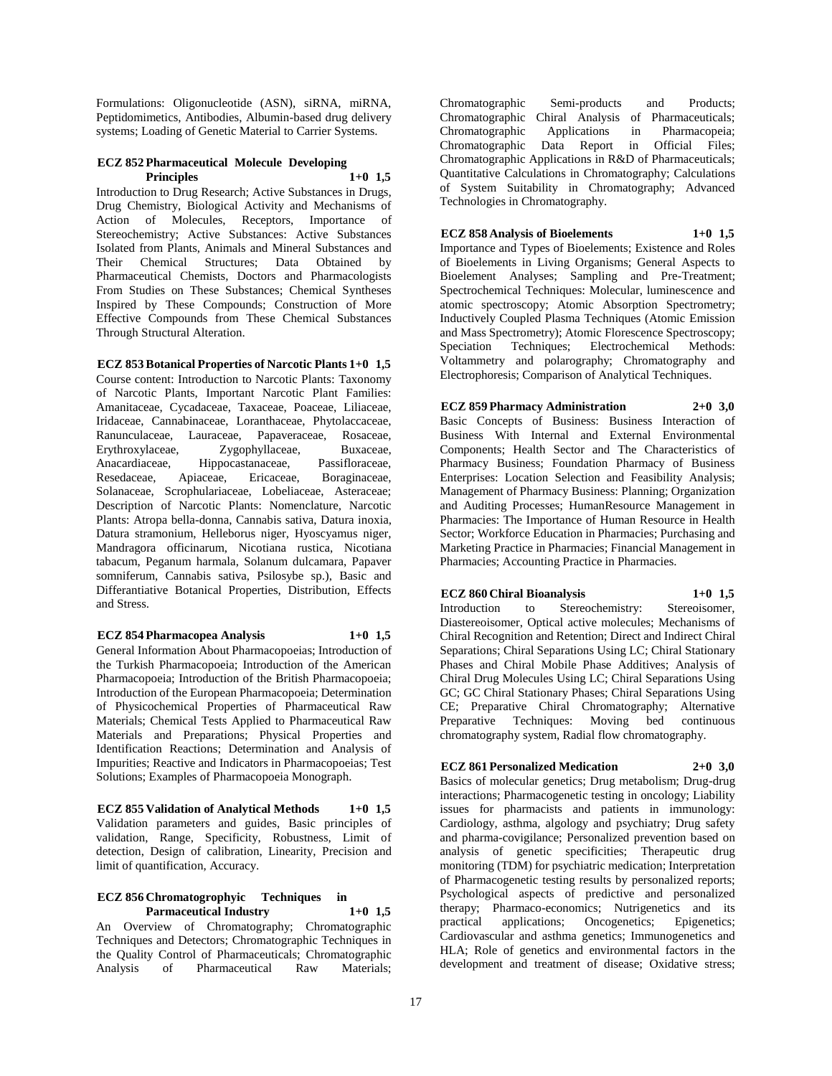Formulations: Oligonucleotide (ASN), siRNA, miRNA, Peptidomimetics, Antibodies, Albumin-based drug delivery systems; Loading of Genetic Material to Carrier Systems.

#### **ECZ 852 Pharmaceutical Molecule Developing Principles 1+0 1,5**

Introduction to Drug Research; Active Substances in Drugs, Drug Chemistry, Biological Activity and Mechanisms of Action of Molecules, Receptors, Importance of Stereochemistry; Active Substances: Active Substances Isolated from Plants, Animals and Mineral Substances and Their Chemical Structures; Data Obtained by Pharmaceutical Chemists, Doctors and Pharmacologists From Studies on These Substances; Chemical Syntheses Inspired by These Compounds; Construction of More Effective Compounds from These Chemical Substances Through Structural Alteration.

## **ECZ 853 Botanical Properties of Narcotic Plants 1+0 1,5**

Course content: Introduction to Narcotic Plants: Taxonomy of Narcotic Plants, Important Narcotic Plant Families: Amanitaceae, Cycadaceae, Taxaceae, Poaceae, Liliaceae, Iridaceae, Cannabinaceae, Loranthaceae, Phytolaccaceae, Ranunculaceae, Lauraceae, Papaveraceae, Rosaceae, Erythroxylaceae, Zygophyllaceae, Buxaceae, Anacardiaceae, Hippocastanaceae, Passifloraceae, Resedaceae, Apiaceae, Ericaceae, Boraginaceae, Solanaceae, Scrophulariaceae, Lobeliaceae, Asteraceae; Description of Narcotic Plants: Nomenclature, Narcotic Plants: Atropa bella-donna, Cannabis sativa, Datura inoxia, Datura stramonium, Helleborus niger, Hyoscyamus niger, Mandragora officinarum, Nicotiana rustica, Nicotiana tabacum, Peganum harmala, Solanum dulcamara, Papaver somniferum, Cannabis sativa, Psilosybe sp.), Basic and Differantiative Botanical Properties, Distribution, Effects and Stress.

#### **ECZ 854 Pharmacopea Analysis 1+0 1,5**

General Information About Pharmacopoeias; Introduction of the Turkish Pharmacopoeia; Introduction of the American Pharmacopoeia; Introduction of the British Pharmacopoeia; Introduction of the European Pharmacopoeia; Determination of Physicochemical Properties of Pharmaceutical Raw Materials; Chemical Tests Applied to Pharmaceutical Raw

Materials and Preparations; Physical Properties and Identification Reactions; Determination and Analysis of Impurities; Reactive and Indicators in Pharmacopoeias; Test Solutions; Examples of Pharmacopoeia Monograph.

**ECZ 855 Validation of Analytical Methods 1+0 1,5** Validation parameters and guides, Basic principles of validation, Range, Specificity, Robustness, Limit of detection, Design of calibration, Linearity, Precision and limit of quantification, Accuracy.

#### **ECZ 856 Chromatogrophyic Techniques in Parmaceutical Industry 1+0 1,5**

An Overview of Chromatography; Chromatographic Techniques and Detectors; Chromatographic Techniques in the Quality Control of Pharmaceuticals; Chromatographic Analysis of Pharmaceutical Raw Materials; Chromatographic Semi-products and Products; Chromatographic Chiral Analysis of Pharmaceuticals; Chromatographic Applications in Pharmacopeia; Chromatographic Data Report in Official Files; Chromatographic Applications in R&D of Pharmaceuticals; Quantitative Calculations in Chromatography; Calculations of System Suitability in Chromatography; Advanced Technologies in Chromatography.

## **ECZ 858 Analysis of Bioelements 1+0 1,5**

Importance and Types of Bioelements; Existence and Roles of Bioelements in Living Organisms; General Aspects to Bioelement Analyses; Sampling and Pre-Treatment; Spectrochemical Techniques: Molecular, luminescence and atomic spectroscopy; Atomic Absorption Spectrometry; Inductively Coupled Plasma Techniques (Atomic Emission and Mass Spectrometry); Atomic Florescence Spectroscopy; Speciation Techniques; Electrochemical Methods: Voltammetry and polarography; Chromatography and Electrophoresis; Comparison of Analytical Techniques.

**ECZ 859 Pharmacy Administration 2+0 3,0** Basic Concepts of Business: Business Interaction of Business With Internal and External Environmental Components; Health Sector and The Characteristics of Pharmacy Business; Foundation Pharmacy of Business Enterprises: Location Selection and Feasibility Analysis; Management of Pharmacy Business: Planning; Organization and Auditing Processes; HumanResource Management in Pharmacies: The Importance of Human Resource in Health Sector; Workforce Education in Pharmacies; Purchasing and Marketing Practice in Pharmacies; Financial Management in Pharmacies; Accounting Practice in Pharmacies.

## **ECZ 860 Chiral Bioanalysis 1+0 1,5**

Introduction to Stereochemistry: Stereoisomer, Diastereoisomer, Optical active molecules; Mechanisms of Chiral Recognition and Retention; Direct and Indirect Chiral Separations; Chiral Separations Using LC; Chiral Stationary Phases and Chiral Mobile Phase Additives; Analysis of Chiral Drug Molecules Using LC; Chiral Separations Using GC; GC Chiral Stationary Phases; Chiral Separations Using CE; Preparative Chiral Chromatography; Alternative Preparative Techniques: Moving bed continuous chromatography system, Radial flow chromatography.

## **ECZ 861 Personalized Medication 2+0 3,0**

Basics of molecular genetics; Drug metabolism; Drug-drug interactions; Pharmacogenetic testing in oncology; Liability issues for pharmacists and patients in immunology: Cardiology, asthma, algology and psychiatry; Drug safety and pharma-covigilance; Personalized prevention based on analysis of genetic specificities; Therapeutic drug monitoring (TDM) for psychiatric medication; Interpretation of Pharmacogenetic testing results by personalized reports; Psychological aspects of predictive and personalized therapy; Pharmaco-economics; Nutrigenetics and its practical applications; Oncogenetics; Epigenetics; Cardiovascular and asthma genetics; Immunogenetics and HLA; Role of genetics and environmental factors in the development and treatment of disease; Oxidative stress;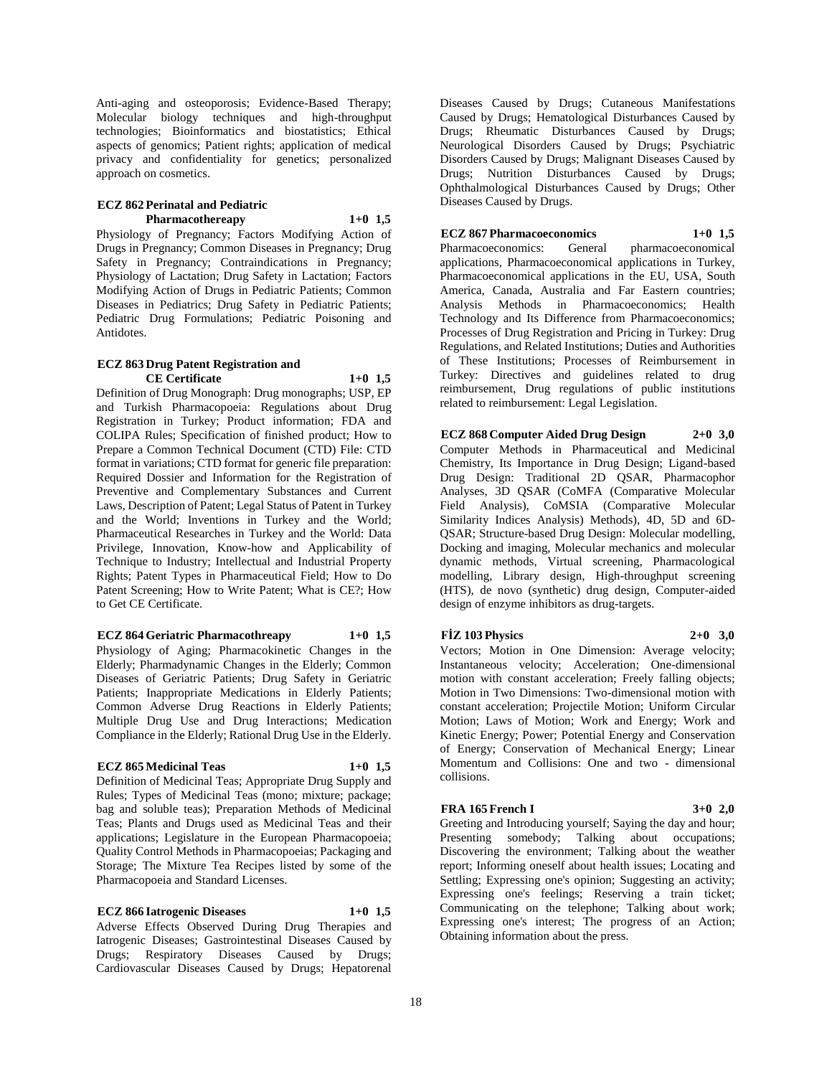Anti-aging and osteoporosis; Evidence-Based Therapy; Molecular biology techniques and high-throughput technologies; Bioinformatics and biostatistics; Ethical aspects of genomics; Patient rights; application of medical privacy and confidentiality for genetics; personalized approach on cosmetics.

#### **ECZ 862 Perinatal and Pediatric Pharmacothereapy 1+0 1,5**

Physiology of Pregnancy; Factors Modifying Action of Drugs in Pregnancy; Common Diseases in Pregnancy; Drug Safety in Pregnancy; Contraindications in Pregnancy; Physiology of Lactation; Drug Safety in Lactation; Factors Modifying Action of Drugs in Pediatric Patients; Common Diseases in Pediatrics; Drug Safety in Pediatric Patients; Pediatric Drug Formulations; Pediatric Poisoning and Antidotes.

#### **ECZ 863 Drug Patent Registration and CE Certificate 1+0 1,5**

Definition of Drug Monograph: Drug monographs; USP, EP and Turkish Pharmacopoeia: Regulations about Drug Registration in Turkey; Product information; FDA and COLIPA Rules; Specification of finished product; How to Prepare a Common Technical Document (CTD) File: CTD format in variations; CTD format for generic file preparation: Required Dossier and Information for the Registration of Preventive and Complementary Substances and Current Laws, Description of Patent; Legal Status of Patent in Turkey and the World; Inventions in Turkey and the World; Pharmaceutical Researches in Turkey and the World: Data Privilege, Innovation, Know-how and Applicability of Technique to Industry; Intellectual and Industrial Property Rights; Patent Types in Pharmaceutical Field; How to Do Patent Screening; How to Write Patent; What is CE?; How to Get CE Certificate.

## **ECZ 864 Geriatric Pharmacothreapy 1+0 1,5**

Physiology of Aging; Pharmacokinetic Changes in the Elderly; Pharmadynamic Changes in the Elderly; Common Diseases of Geriatric Patients; Drug Safety in Geriatric Patients; Inappropriate Medications in Elderly Patients; Common Adverse Drug Reactions in Elderly Patients; Multiple Drug Use and Drug Interactions; Medication Compliance in the Elderly; Rational Drug Use in the Elderly.

## **ECZ 865 Medicinal Teas 1+0 1,5**

Definition of Medicinal Teas; Appropriate Drug Supply and Rules; Types of Medicinal Teas (mono; mixture; package; bag and soluble teas); Preparation Methods of Medicinal Teas; Plants and Drugs used as Medicinal Teas and their applications; Legislature in the European Pharmacopoeia; Quality Control Methods in Pharmacopoeias; Packaging and Storage; The Mixture Tea Recipes listed by some of the Pharmacopoeia and Standard Licenses.

#### **ECZ 866 Iatrogenic Diseases 1+0 1,5**

Adverse Effects Observed During Drug Therapies and Iatrogenic Diseases; Gastrointestinal Diseases Caused by Drugs; Respiratory Diseases Caused by Drugs; Cardiovascular Diseases Caused by Drugs; Hepatorenal

Diseases Caused by Drugs; Cutaneous Manifestations Caused by Drugs; Hematological Disturbances Caused by Drugs; Rheumatic Disturbances Caused by Drugs; Neurological Disorders Caused by Drugs; Psychiatric Disorders Caused by Drugs; Malignant Diseases Caused by Drugs; Nutrition Disturbances Caused by Drugs; Ophthalmological Disturbances Caused by Drugs; Other Diseases Caused by Drugs.

## **ECZ 867 Pharmacoeconomics 1+0 1,5**

Pharmacoeconomics: General pharmacoeconomical applications, Pharmacoeconomical applications in Turkey, Pharmacoeconomical applications in the EU, USA, South America, Canada, Australia and Far Eastern countries; Analysis Methods in Pharmacoeconomics; Health Technology and Its Difference from Pharmacoeconomics; Processes of Drug Registration and Pricing in Turkey: Drug Regulations, and Related Institutions; Duties and Authorities of These Institutions; Processes of Reimbursement in Turkey: Directives and guidelines related to drug reimbursement, Drug regulations of public institutions related to reimbursement: Legal Legislation.

## **ECZ 868 Computer Aided Drug Design 2+0 3,0**

Computer Methods in Pharmaceutical and Medicinal Chemistry, Its Importance in Drug Design; Ligand-based Drug Design: Traditional 2D QSAR, Pharmacophor Analyses, 3D QSAR (CoMFA (Comparative Molecular Field Analysis), CoMSIA (Comparative Molecular Similarity Indices Analysis) Methods), 4D, 5D and 6D-QSAR; Structure-based Drug Design: Molecular modelling, Docking and imaging, Molecular mechanics and molecular dynamic methods, Virtual screening, Pharmacological modelling, Library design, High-throughput screening (HTS), de novo (synthetic) drug design, Computer-aided design of enzyme inhibitors as drug-targets.

## **FİZ 103 Physics 2+0 3,0**

Vectors; Motion in One Dimension: Average velocity; Instantaneous velocity; Acceleration; One-dimensional motion with constant acceleration; Freely falling objects; Motion in Two Dimensions: Two-dimensional motion with constant acceleration; Projectile Motion; Uniform Circular Motion; Laws of Motion; Work and Energy; Work and Kinetic Energy; Power; Potential Energy and Conservation of Energy; Conservation of Mechanical Energy; Linear Momentum and Collisions: One and two - dimensional collisions.

## **FRA 165 French I 3+0 2,0**

Greeting and Introducing yourself; Saying the day and hour; Presenting somebody; Talking about occupations; Discovering the environment; Talking about the weather report; Informing oneself about health issues; Locating and Settling; Expressing one's opinion; Suggesting an activity; Expressing one's feelings; Reserving a train ticket; Communicating on the telephone; Talking about work; Expressing one's interest; The progress of an Action; Obtaining information about the press.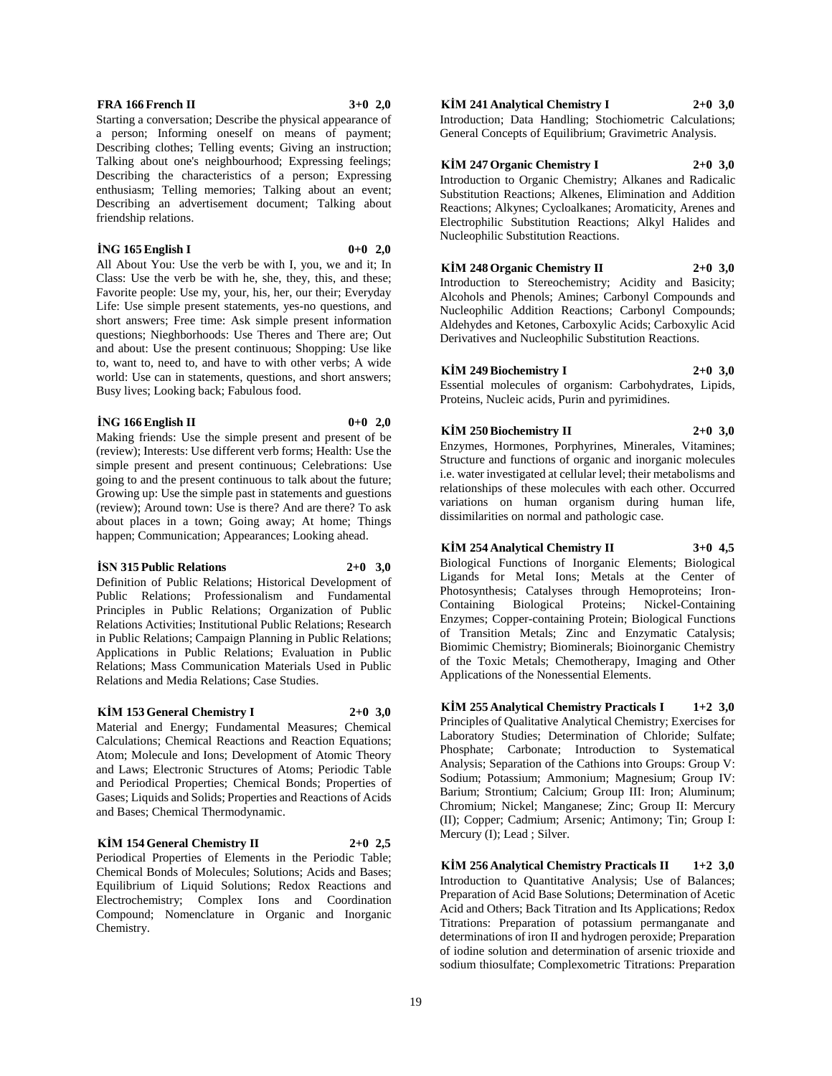## **FRA 166 French II 3+0 2,0**

Starting a conversation; Describe the physical appearance of a person; Informing oneself on means of payment; Describing clothes; Telling events; Giving an instruction; Talking about one's neighbourhood; Expressing feelings; Describing the characteristics of a person; Expressing enthusiasm; Telling memories; Talking about an event; Describing an advertisement document; Talking about friendship relations.

#### **İNG 165 English I 0+0 2,0**

All About You: Use the verb be with I, you, we and it; In

Class: Use the verb be with he, she, they, this, and these; Favorite people: Use my, your, his, her, our their; Everyday Life: Use simple present statements, yes-no questions, and short answers; Free time: Ask simple present information questions; Nieghborhoods: Use Theres and There are; Out and about: Use the present continuous; Shopping: Use like to, want to, need to, and have to with other verbs; A wide world: Use can in statements, questions, and short answers; Busy lives; Looking back; Fabulous food.

#### **İNG 166 English II 0+0 2,0**

Making friends: Use the simple present and present of be (review); Interests: Use different verb forms; Health: Use the simple present and present continuous; Celebrations: Use going to and the present continuous to talk about the future; Growing up: Use the simple past in statements and guestions (review); Around town: Use is there? And are there? To ask about places in a town; Going away; At home; Things happen; Communication; Appearances; Looking ahead.

## **İSN 315 Public Relations 2+0 3,0**

Definition of Public Relations; Historical Development of Public Relations; Professionalism and Fundamental Principles in Public Relations; Organization of Public Relations Activities; Institutional Public Relations; Research in Public Relations; Campaign Planning in Public Relations; Applications in Public Relations; Evaluation in Public Relations; Mass Communication Materials Used in Public Relations and Media Relations; Case Studies.

#### **KİM 153 General Chemistry I 2+0 3,0**

Material and Energy; Fundamental Measures; Chemical Calculations; Chemical Reactions and Reaction Equations; Atom; Molecule and Ions; Development of Atomic Theory and Laws; Electronic Structures of Atoms; Periodic Table and Periodical Properties; Chemical Bonds; Properties of Gases; Liquids and Solids; Properties and Reactions of Acids and Bases; Chemical Thermodynamic.

## **KİM 154 General Chemistry II 2+0 2,5**

Periodical Properties of Elements in the Periodic Table; Chemical Bonds of Molecules; Solutions; Acids and Bases; Equilibrium of Liquid Solutions; Redox Reactions and Electrochemistry; Complex Ions and Coordination Compound; Nomenclature in Organic and Inorganic Chemistry.

# **KİM 241 Analytical Chemistry I 2+0 3,0**

Introduction; Data Handling; Stochiometric Calculations; General Concepts of Equilibrium; Gravimetric Analysis.

#### **KİM 247 Organic Chemistry I 2+0 3,0**

Introduction to Organic Chemistry; Alkanes and Radicalic Substitution Reactions; Alkenes, Elimination and Addition Reactions; Alkynes; Cycloalkanes; Aromaticity, Arenes and Electrophilic Substitution Reactions; Alkyl Halides and Nucleophilic Substitution Reactions.

## **KİM 248 Organic Chemistry II 2+0 3,0**

Introduction to Stereochemistry; Acidity and Basicity; Alcohols and Phenols; Amines; Carbonyl Compounds and Nucleophilic Addition Reactions; Carbonyl Compounds; Aldehydes and Ketones, Carboxylic Acids; Carboxylic Acid Derivatives and Nucleophilic Substitution Reactions.

#### **KİM 249 Biochemistry I 2+0 3,0**

Essential molecules of organism: Carbohydrates, Lipids, Proteins, Nucleic acids, Purin and pyrimidines.

#### **KİM 250 Biochemistry II 2+0 3,0**

Enzymes, Hormones, Porphyrines, Minerales, Vitamines; Structure and functions of organic and inorganic molecules i.e. water investigated at cellular level; their metabolisms and relationships of these molecules with each other. Occurred variations on human organism during human life, dissimilarities on normal and pathologic case.

# **KİM 254 Analytical Chemistry II 3+0 4,5** Biological Functions of Inorganic Elements; Biological Ligands for Metal Ions; Metals at the Center of

Photosynthesis; Catalyses through Hemoproteins; Iron-Containing Biological Proteins; Nickel-Containing Enzymes; Copper-containing Protein; Biological Functions of Transition Metals; Zinc and Enzymatic Catalysis; Biomimic Chemistry; Biominerals; Bioinorganic Chemistry of the Toxic Metals; Chemotherapy, Imaging and Other Applications of the Nonessential Elements.

**KİM 255 Analytical Chemistry Practicals I 1+2 3,0** Principles of Qualitative Analytical Chemistry; Exercises for Laboratory Studies; Determination of Chloride; Sulfate; Phosphate; Carbonate; Introduction to Systematical Analysis; Separation of the Cathions into Groups: Group V: Sodium; Potassium; Ammonium; Magnesium; Group IV: Barium; Strontium; Calcium; Group III: Iron; Aluminum; Chromium; Nickel; Manganese; Zinc; Group II: Mercury (II); Copper; Cadmium; Arsenic; Antimony; Tin; Group I: Mercury (I); Lead ; Silver.

**KİM 256 Analytical Chemistry Practicals II 1+2 3,0** Introduction to Quantitative Analysis; Use of Balances; Preparation of Acid Base Solutions; Determination of Acetic Acid and Others; Back Titration and Its Applications; Redox Titrations: Preparation of potassium permanganate and determinations of iron II and hydrogen peroxide; Preparation of iodine solution and determination of arsenic trioxide and sodium thiosulfate; Complexometric Titrations: Preparation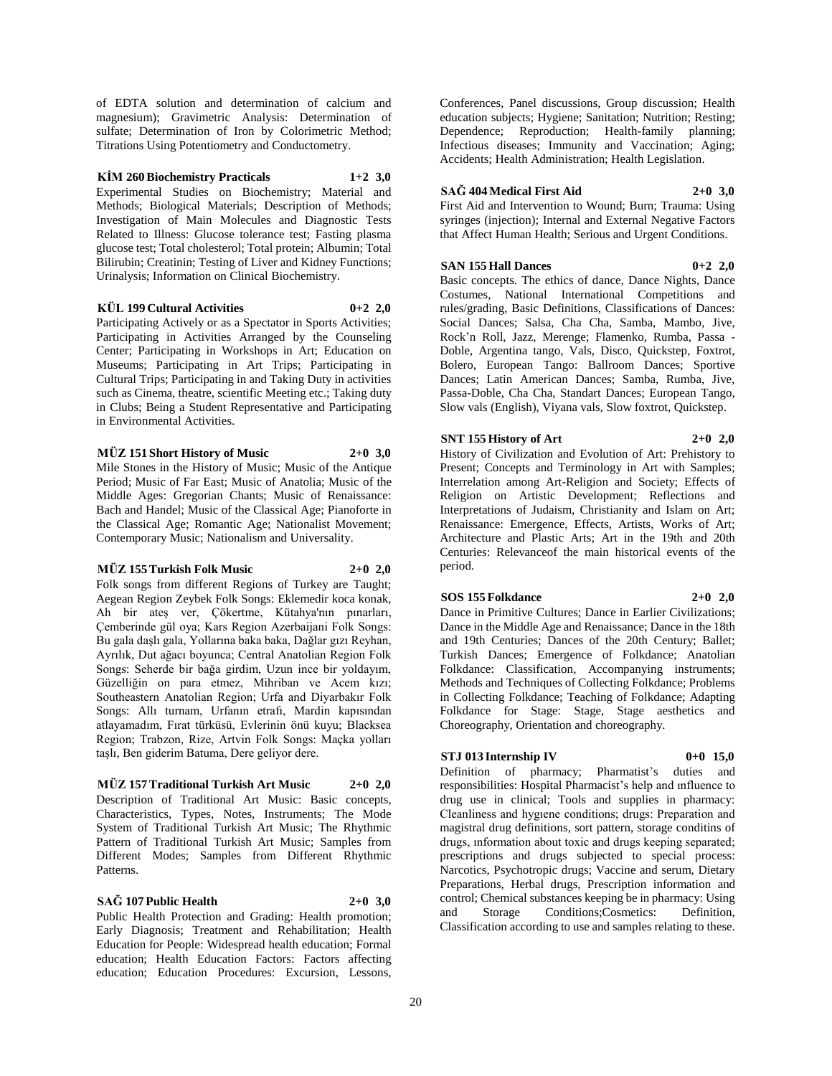of EDTA solution and determination of calcium and magnesium); Gravimetric Analysis: Determination of sulfate; Determination of Iron by Colorimetric Method; Titrations Using Potentiometry and Conductometry.

**KİM 260 Biochemistry Practicals 1+2 3,0** Experimental Studies on Biochemistry; Material and Methods; Biological Materials; Description of Methods; Investigation of Main Molecules and Diagnostic Tests Related to Illness: Glucose tolerance test; Fasting plasma glucose test; Total cholesterol; Total protein; Albumin; Total Bilirubin; Creatinin; Testing of Liver and Kidney Functions; Urinalysis; Information on Clinical Biochemistry.

## **KÜL 199 Cultural Activities 0+2 2,0**

Participating Actively or as a Spectator in Sports Activities; Participating in Activities Arranged by the Counseling Center; Participating in Workshops in Art; Education on Museums; Participating in Art Trips; Participating in Cultural Trips; Participating in and Taking Duty in activities such as Cinema, theatre, scientific Meeting etc.; Taking duty in Clubs; Being a Student Representative and Participating in Environmental Activities.

#### **MÜZ 151 Short History of Music 2+0 3,0**

Mile Stones in the History of Music; Music of the Antique Period; Music of Far East; Music of Anatolia; Music of the Middle Ages: Gregorian Chants; Music of Renaissance: Bach and Handel; Music of the Classical Age; Pianoforte in the Classical Age; Romantic Age; Nationalist Movement; Contemporary Music; Nationalism and Universality.

## **MÜZ 155 Turkish Folk Music 2+0 2,0**

Folk songs from different Regions of Turkey are Taught; Aegean Region Zeybek Folk Songs: Eklemedir koca konak, Ah bir ateş ver, Çökertme, Kütahya'nın pınarları, Çemberinde gül oya; Kars Region Azerbaijani Folk Songs: Bu gala daşlı gala, Yollarına baka baka, Dağlar gızı Reyhan, Ayrılık, Dut ağacı boyunca; Central Anatolian Region Folk Songs: Seherde bir bağa girdim, Uzun ince bir yoldayım, Güzelliğin on para etmez, Mihriban ve Acem kızı; Southeastern Anatolian Region; Urfa and Diyarbakır Folk Songs: Allı turnam, Urfanın etrafı, Mardin kapısından atlayamadım, Fırat türküsü, Evlerinin önü kuyu; Blacksea Region; Trabzon, Rize, Artvin Folk Songs: Maçka yolları taşlı, Ben giderim Batuma, Dere geliyor dere.

## **MÜZ 157 Traditional Turkish Art Music 2+0 2,0**

Description of Traditional Art Music: Basic concepts, Characteristics, Types, Notes, Instruments; The Mode System of Traditional Turkish Art Music; The Rhythmic Pattern of Traditional Turkish Art Music; Samples from Different Modes; Samples from Different Rhythmic Patterns.

#### **SAĞ 107 Public Health 2+0 3,0**

Public Health Protection and Grading: Health promotion; Early Diagnosis; Treatment and Rehabilitation; Health Education for People: Widespread health education; Formal education; Health Education Factors: Factors affecting education; Education Procedures: Excursion, Lessons,

Conferences, Panel discussions, Group discussion; Health education subjects; Hygiene; Sanitation; Nutrition; Resting; Dependence; Reproduction; Health-family planning; Infectious diseases; Immunity and Vaccination; Aging; Accidents; Health Administration; Health Legislation.

## **SAĞ 404 Medical First Aid 2+0 3,0**

First Aid and Intervention to Wound; Burn; Trauma: Using syringes (injection); Internal and External Negative Factors that Affect Human Health; Serious and Urgent Conditions.

## **SAN 155 Hall Dances 0+2 2,0**

Basic concepts. The ethics of dance, Dance Nights, Dance Costumes, National International Competitions and rules/grading, Basic Definitions, Classifications of Dances: Social Dances; Salsa, Cha Cha, Samba, Mambo, Jive, Rock'n Roll, Jazz, Merenge; Flamenko, Rumba, Passa - Doble, Argentina tango, Vals, Disco, Quickstep, Foxtrot, Bolero, European Tango: Ballroom Dances; Sportive Dances; Latin American Dances; Samba, Rumba, Jive, Passa-Doble, Cha Cha, Standart Dances; European Tango, Slow vals (English), Viyana vals, Slow foxtrot, Quickstep.

## **SNT 155 History of Art 2+0 2,0**

History of Civilization and Evolution of Art: Prehistory to Present; Concepts and Terminology in Art with Samples; Interrelation among Art-Religion and Society; Effects of Religion on Artistic Development; Reflections and Interpretations of Judaism, Christianity and Islam on Art; Renaissance: Emergence, Effects, Artists, Works of Art; Architecture and Plastic Arts; Art in the 19th and 20th Centuries: Relevanceof the main historical events of the period.

#### **SOS 155 Folkdance 2+0 2,0**

Dance in Primitive Cultures; Dance in Earlier Civilizations; Dance in the Middle Age and Renaissance; Dance in the 18th and 19th Centuries; Dances of the 20th Century; Ballet; Turkish Dances; Emergence of Folkdance; Anatolian Folkdance: Classification, Accompanying instruments; Methods and Techniques of Collecting Folkdance; Problems in Collecting Folkdance; Teaching of Folkdance; Adapting

# **STJ 013 Internship IV 0+0 15,0**

Definition of pharmacy; Pharmatist's duties and responsibilities: Hospital Pharmacist's help and ınfluence to drug use in clinical; Tools and supplies in pharmacy: Cleanliness and hygıene conditions; drugs: Preparation and magistral drug definitions, sort pattern, storage conditins of drugs, ınformation about toxic and drugs keeping separated; prescriptions and drugs subjected to special process: Narcotics, Psychotropic drugs; Vaccine and serum, Dietary Preparations, Herbal drugs, Prescription information and control; Chemical substances keeping be in pharmacy: Using and Storage Conditions;Cosmetics: Definition, Classification according to use and samples relating to these.

Folkdance for Stage: Stage, Stage aesthetics and

Choreography, Orientation and choreography.